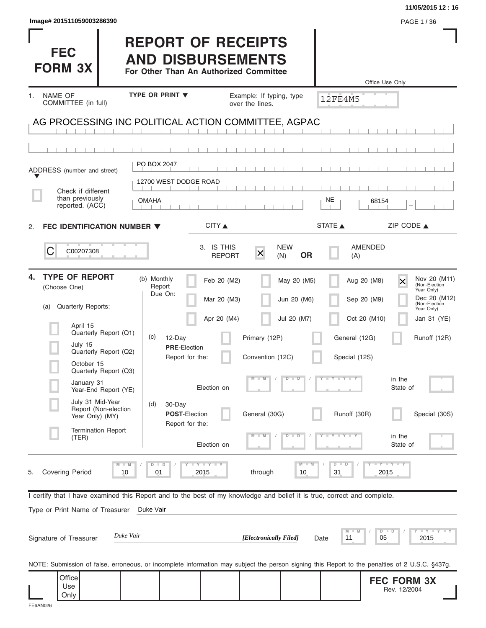|                                                                                                                                                |                                                                                                 |                                                        |                                |                               | 11/05/2015 12:16                                                                       |
|------------------------------------------------------------------------------------------------------------------------------------------------|-------------------------------------------------------------------------------------------------|--------------------------------------------------------|--------------------------------|-------------------------------|----------------------------------------------------------------------------------------|
| Image# 201511059003286390                                                                                                                      |                                                                                                 |                                                        |                                |                               | PAGE 1 / 36                                                                            |
| <b>FEC</b><br><b>FORM 3X</b>                                                                                                                   | <b>REPORT OF RECEIPTS</b><br><b>AND DISBURSEMENTS</b><br>For Other Than An Authorized Committee |                                                        |                                |                               | Office Use Only                                                                        |
| <b>NAME OF</b><br>1.                                                                                                                           | TYPE OR PRINT V                                                                                 | Example: If typing, type                               |                                |                               |                                                                                        |
| COMMITTEE (in full)                                                                                                                            |                                                                                                 | over the lines.                                        |                                | <b>12FE4M5</b>                |                                                                                        |
| AG PROCESSING INC POLITICAL ACTION COMMITTEE, AGPAC                                                                                            |                                                                                                 |                                                        |                                |                               |                                                                                        |
|                                                                                                                                                |                                                                                                 |                                                        |                                |                               |                                                                                        |
|                                                                                                                                                |                                                                                                 |                                                        |                                |                               |                                                                                        |
| ADDRESS (number and street)                                                                                                                    | PO BOX 2047                                                                                     |                                                        |                                |                               |                                                                                        |
|                                                                                                                                                | 12700 WEST DODGE ROAD                                                                           |                                                        |                                |                               |                                                                                        |
| Check if different<br>than previously<br>reported. (ACC)                                                                                       | <b>OMAHA</b>                                                                                    |                                                        |                                | NE<br>68154                   |                                                                                        |
|                                                                                                                                                |                                                                                                 |                                                        |                                |                               |                                                                                        |
| FEC IDENTIFICATION NUMBER ▼<br>2.                                                                                                              |                                                                                                 | CITY ▲                                                 |                                | <b>STATE</b>                  | ZIP CODE $\triangle$                                                                   |
| C<br>C00207308                                                                                                                                 |                                                                                                 | 3. IS THIS<br>$\mathsf{\overline{X}}$<br><b>REPORT</b> | <b>NEW</b><br><b>OR</b><br>(N) | AMENDED<br>(A)                |                                                                                        |
| <b>TYPE OF REPORT</b><br>4.<br>(Choose One)                                                                                                    | (b) Monthly<br>Report<br>Due On:                                                                | Feb 20 (M2)<br>Mar 20 (M3)                             | May 20 (M5)<br>Jun 20 (M6)     | Aug 20 (M8)<br>Sep 20 (M9)    | Nov 20 (M11)<br>$\overline{\mathsf{x}}$<br>(Non-Election<br>Year Only)<br>Dec 20 (M12) |
| Quarterly Reports:<br>(a)                                                                                                                      |                                                                                                 |                                                        |                                |                               | (Non-Election<br>Year Only)                                                            |
| April 15<br>Quarterly Report (Q1)                                                                                                              | (c)<br>12-Day                                                                                   | Apr 20 (M4)<br>Primary (12P)                           | Jul 20 (M7)                    | Oct 20 (M10)<br>General (12G) | Jan 31 (YE)<br>Runoff (12R)                                                            |
| July 15<br>Quarterly Report (Q2)<br>October 15                                                                                                 | <b>PRE-Election</b><br>Report for the:                                                          | Convention (12C)                                       |                                | Special (12S)                 |                                                                                        |
| Quarterly Report (Q3)<br>January 31                                                                                                            |                                                                                                 |                                                        | D<br>$\Box$                    | $T - Y = T - T$               | in the                                                                                 |
| Year-End Report (YE)<br>July 31 Mid-Year                                                                                                       |                                                                                                 | Election on                                            |                                |                               | State of                                                                               |
| Report (Non-election<br>Year Only) (MY)                                                                                                        | (d)<br>30-Day<br><b>POST-Election</b><br>Report for the:                                        | General (30G)                                          |                                | Runoff (30R)                  | Special (30S)                                                                          |
| <b>Termination Report</b><br>(TER)                                                                                                             |                                                                                                 | Election on                                            | ┲<br>D                         |                               | in the<br>State of                                                                     |
| $M - M$<br><b>Covering Period</b><br>10<br>5.                                                                                                  | $D$ $D$<br><b>LYLYLY</b><br>2015<br>01                                                          | through                                                | $M - M$<br>10                  | $D - D$<br>31                 | $\Box$ $\Upsilon$ $\Box$ $\Upsilon$ $\Upsilon$ $\Upsilon$<br>2015                      |
| I certify that I have examined this Report and to the best of my knowledge and belief it is true, correct and complete.                        |                                                                                                 |                                                        |                                |                               |                                                                                        |
| Type or Print Name of Treasurer                                                                                                                | Duke Vair                                                                                       |                                                        |                                |                               |                                                                                        |
| Duke Vair<br>Signature of Treasurer                                                                                                            |                                                                                                 | [Electronically Filed]                                 | Date                           | M<br>11<br>05                 | $\bot$ $\gamma$ $\bot$ $\gamma$ $\bot$ $\gamma$<br>$D$ $D$<br>2015                     |
| NOTE: Submission of false, erroneous, or incomplete information may subject the person signing this Report to the penalties of 2 U.S.C. §437g. |                                                                                                 |                                                        |                                |                               |                                                                                        |
| Office<br>Use                                                                                                                                  |                                                                                                 |                                                        |                                |                               | <b>FEC FORM 3X</b><br>Rev. 12/2004                                                     |
| Only                                                                                                                                           |                                                                                                 |                                                        |                                |                               |                                                                                        |

| lmage# 20151105900328639 |  |  |  |  |  |
|--------------------------|--|--|--|--|--|
|--------------------------|--|--|--|--|--|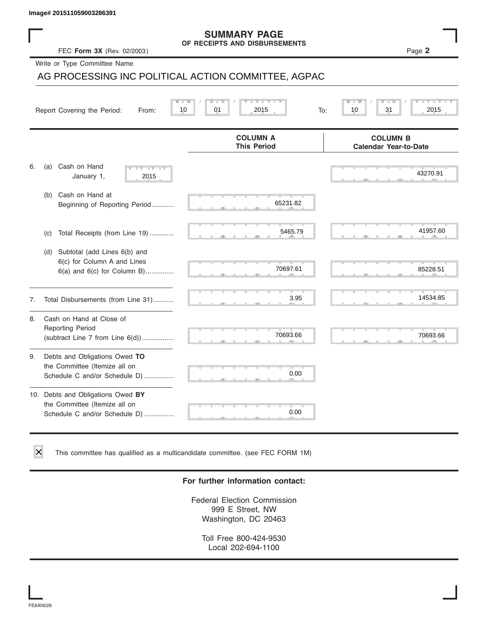### **SUMMARY PAGE OF RECEIPTS AND DISBURSEMENTS**

|    | lmage# 201511059003286391                                                                             |                                                      |                                                 |
|----|-------------------------------------------------------------------------------------------------------|------------------------------------------------------|-------------------------------------------------|
|    | FEC Form 3X (Rev. 02/2003)                                                                            | <b>SUMMARY PAGE</b><br>OF RECEIPTS AND DISBURSEMENTS | Page 2                                          |
|    | Write or Type Committee Name                                                                          |                                                      |                                                 |
|    |                                                                                                       | AG PROCESSING INC POLITICAL ACTION COMMITTEE, AGPAC  |                                                 |
|    | Report Covering the Period:<br>From:                                                                  | Y L<br>D<br>01<br>2015<br>10<br>To:                  | 31<br>10<br>2015                                |
|    |                                                                                                       | <b>COLUMN A</b><br><b>This Period</b>                | <b>COLUMN B</b><br><b>Calendar Year-to-Date</b> |
| 6. | Cash on Hand<br>(a)<br><b>TY</b><br>January 1,<br>2015                                                |                                                      | 43270.91                                        |
|    | (b) Cash on Hand at<br>Beginning of Reporting Period                                                  | 65231.82                                             |                                                 |
|    | Total Receipts (from Line 19)<br>(c)                                                                  | 5465.79                                              | 41957.60                                        |
|    | Subtotal (add Lines 6(b) and<br>(d)<br>6(c) for Column A and Lines<br>$6(a)$ and $6(c)$ for Column B) | 70697.61                                             | 85228.51                                        |
| 7. | Total Disbursements (from Line 31)                                                                    | 3.95                                                 | 14534.85                                        |
| 8. | Cash on Hand at Close of<br><b>Reporting Period</b><br>(subtract Line $7$ from Line $6(d)$ )          | 70693.66                                             | 70693.66                                        |
| 9. | Debts and Obligations Owed TO<br>the Committee (Itemize all on<br>Schedule C and/or Schedule D)       | 0.00                                                 |                                                 |
|    | 10. Debts and Obligations Owed BY<br>the Committee (Itemize all on<br>Schedule C and/or Schedule D)   | 0.00                                                 |                                                 |

This committee has qualified as a multicandidate committee. (see FEC FORM 1M)

### **For further information contact:**

Federal Election Commission 999 E Street, NW Washington, DC 20463

Toll Free 800-424-9530 Local 202-694-1100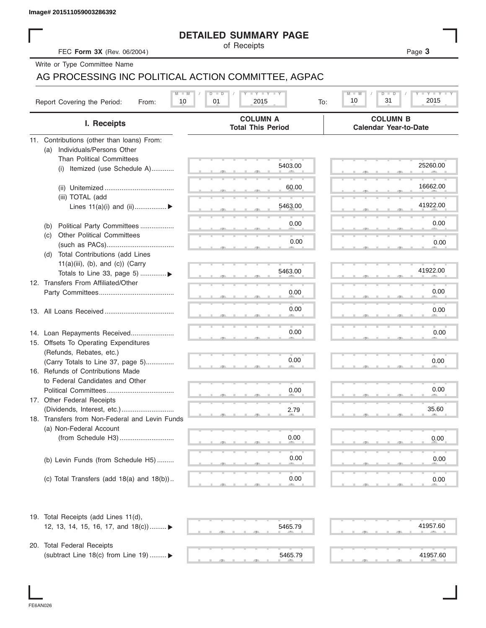|  | Image# 201511059003286392 |
|--|---------------------------|
|  |                           |

### **DETAILED SUMMARY PAGE**

|                                                     | <b>DETAILED SUMMARY PAGE</b>                                                  |                                                 |
|-----------------------------------------------------|-------------------------------------------------------------------------------|-------------------------------------------------|
| FEC Form 3X (Rev. 06/2004)                          | of Receipts                                                                   | Page 3                                          |
| Write or Type Committee Name                        |                                                                               |                                                 |
| AG PROCESSING INC POLITICAL ACTION COMMITTEE, AGPAC |                                                                               |                                                 |
|                                                     | $\mathbf{I}$ $\mathbf{Y}$ $\mathbf{I}$ $\mathbf{Y}$ $\mathbf{I}$ $\mathbf{Y}$ | $Y = Y$<br>M<br>D                               |
| Report Covering the Period:<br>10<br>From:          | 01<br>2015<br>To:                                                             | 31<br>2015<br>10                                |
| I. Receipts                                         | <b>COLUMN A</b><br><b>Total This Period</b>                                   | <b>COLUMN B</b><br><b>Calendar Year-to-Date</b> |
| 11. Contributions (other than loans) From:          |                                                                               |                                                 |
| Individuals/Persons Other<br>(a)                    |                                                                               |                                                 |
| <b>Than Political Committees</b>                    | 5403.00                                                                       | 25260.00                                        |
| (i) Itemized (use Schedule A)                       |                                                                               |                                                 |
|                                                     |                                                                               | 16662.00                                        |
|                                                     | 60.00                                                                         |                                                 |
| (iii) TOTAL (add                                    | 5463.00                                                                       | 41922.00                                        |
| Lines $11(a)(i)$ and $(ii)$                         |                                                                               |                                                 |
| Political Party Committees<br>(b)                   | 0.00                                                                          | 0.00                                            |
| <b>Other Political Committees</b><br>(C)            |                                                                               |                                                 |
|                                                     | 0.00                                                                          | 0.00                                            |
| Total Contributions (add Lines<br>(d)               |                                                                               |                                                 |
| $11(a)(iii)$ , (b), and (c)) (Carry                 |                                                                               |                                                 |
| Totals to Line 33, page 5) ▶                        | 5463.00                                                                       | 41922.00                                        |
| 12. Transfers From Affiliated/Other                 |                                                                               |                                                 |
|                                                     | 0.00                                                                          | 0.00                                            |
|                                                     |                                                                               |                                                 |
|                                                     | 0.00                                                                          | 0.00                                            |
|                                                     |                                                                               |                                                 |
| 14. Loan Repayments Received                        | 0.00                                                                          | 0.00                                            |
| 15. Offsets To Operating Expenditures               |                                                                               |                                                 |
| (Refunds, Rebates, etc.)                            |                                                                               |                                                 |
| (Carry Totals to Line 37, page 5)                   | 0.00                                                                          | 0.00                                            |
| 16. Refunds of Contributions Made                   |                                                                               |                                                 |
| to Federal Candidates and Other                     |                                                                               |                                                 |
| Political Committees                                | 0.00                                                                          | 0.00                                            |
| 17. Other Federal Receipts                          |                                                                               |                                                 |
|                                                     | 2.79                                                                          | 35.60                                           |
| 18. Transfers from Non-Federal and Levin Funds      |                                                                               |                                                 |
| (a) Non-Federal Account                             |                                                                               |                                                 |
|                                                     | 0.00                                                                          | 0.00                                            |
|                                                     |                                                                               |                                                 |
| (b) Levin Funds (from Schedule H5)                  | 0.00                                                                          | 0.00                                            |
|                                                     |                                                                               |                                                 |
| (c) Total Transfers (add $18(a)$ and $18(b)$ )      | 0.00                                                                          | 0.00                                            |
| 19. Total Receipts (add Lines 11(d),                |                                                                               |                                                 |
| 12, 13, 14, 15, 16, 17, and 18(c)) ▶                | 5465.79                                                                       | 41957.60                                        |
|                                                     |                                                                               |                                                 |
| 20. Total Federal Receipts                          |                                                                               |                                                 |
| (subtract Line 18(c) from Line 19)  ▶               | 5465.79                                                                       | 41957.60                                        |
|                                                     |                                                                               |                                                 |

FE6AN026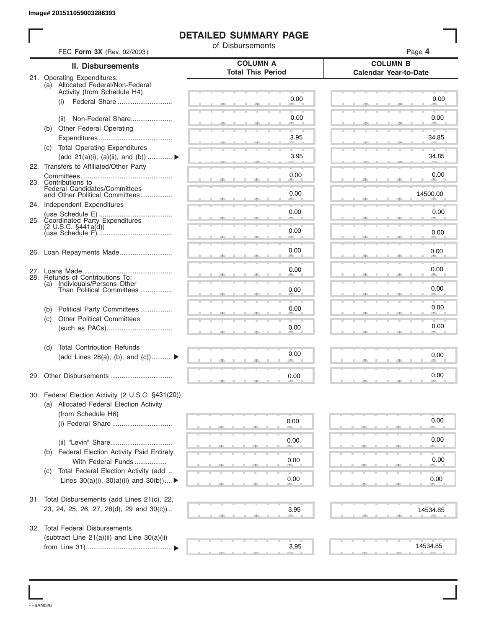### **DETAILED SUMMARY PAGE**

|     | FEC Form 3X (Rev. 02/2003)                                                                 | of Disbursements         | Page 4                       |
|-----|--------------------------------------------------------------------------------------------|--------------------------|------------------------------|
|     | <b>II. Disbursements</b>                                                                   | <b>COLUMN A</b>          | <b>COLUMN B</b>              |
|     | 21. Operating Expenditures:                                                                | <b>Total This Period</b> | <b>Calendar Year-to-Date</b> |
|     | (a) Allocated Federal/Non-Federal<br>Activity (from Schedule H4)                           |                          |                              |
|     | Federal Share<br>(i)                                                                       | 0.00                     | 0.00                         |
|     |                                                                                            |                          |                              |
|     | Non-Federal Share<br>(ii)                                                                  | 0.00                     | 0.00                         |
|     | (b) Other Federal Operating                                                                | 3.95                     | 34.85                        |
|     | (c) Total Operating Expenditures                                                           |                          |                              |
|     | (add 21(a)(i), (a)(ii), and (b))                                                           | 3.95                     | 34.85                        |
|     | 22. Transfers to Affiliated/Other Party                                                    |                          |                              |
|     | 23. Contributions to                                                                       | 0.00                     | 0.00                         |
|     | Federal Candidates/Committees<br>and Other Political Committees                            | 0.00                     | 14500.00                     |
|     | 24. Independent Expenditures                                                               |                          |                              |
|     |                                                                                            | 0.00                     | 0.00                         |
|     | 25. Coordinated Party Expenditures<br>(2 U.S.C. §441a(d))                                  |                          |                              |
|     |                                                                                            | 0.00                     | 0.00                         |
|     | 26. Loan Repayments Made                                                                   | 0.00                     | 0.00                         |
|     |                                                                                            |                          |                              |
|     |                                                                                            | 0.00                     | 0.00                         |
| (a) | 28. Refunds of Contributions To:<br>Individuals/Persons Other<br>Than Political Committees |                          |                              |
|     |                                                                                            | 0.00                     | 0.00                         |
| (b) | Political Party Committees                                                                 | 0.00                     | 0.00                         |
| (c) | <b>Other Political Committees</b>                                                          |                          |                              |
|     |                                                                                            | 0.00                     | 0.00                         |
| (d) | <b>Total Contribution Refunds</b>                                                          |                          |                              |
|     | (add Lines 28(a), (b), and (c))                                                            | 0.00                     | 0.00                         |
|     |                                                                                            |                          |                              |
|     | 29. Other Disbursements                                                                    | 0.00                     | 0.00                         |
|     | 30. Federal Election Activity (2 U.S.C. §431(20))                                          |                          |                              |
|     | (a) Allocated Federal Election Activity                                                    |                          |                              |
|     | (from Schedule H6)                                                                         | 0.00                     | 0.00                         |
|     |                                                                                            |                          |                              |
|     |                                                                                            | 0.00                     | 0.00                         |
|     | (b) Federal Election Activity Paid Entirely                                                |                          |                              |
|     | With Federal Funds                                                                         | 0.00                     | 0.00                         |
| (C) | Total Federal Election Activity (add                                                       | 0.00                     |                              |
|     | Lines $30(a)(i)$ , $30(a)(ii)$ and $30(b))$                                                |                          | 0.00                         |
|     | 31. Total Disbursements (add Lines 21(c), 22,                                              |                          |                              |
|     | 23, 24, 25, 26, 27, 28(d), 29 and 30(c))                                                   | 3.95                     | 14534.85                     |
|     |                                                                                            |                          |                              |
|     | 32. Total Federal Disbursements                                                            |                          |                              |
|     | (subtract Line 21(a)(ii) and Line 30(a)(ii)                                                | 3.95                     | 14534.85                     |

FE6AN026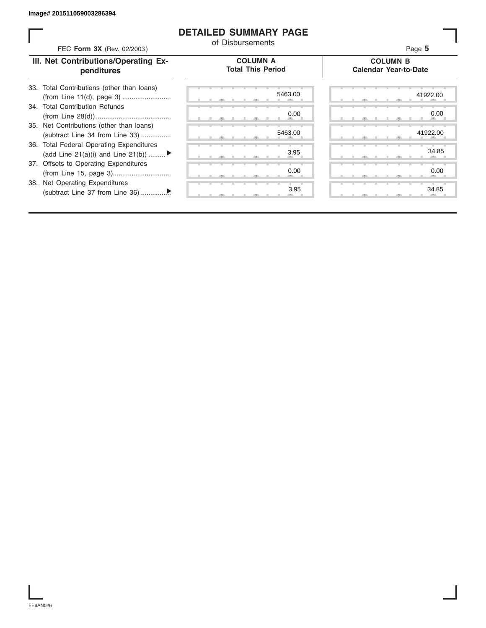### **DETAILED SUMMARY PAGE**

| FEC Form 3X (Rev. 02/2003)                                                                                                                                     | <b>DETAILED SUMMARY PAGE</b><br>of Disbursements | Page 5                                          |
|----------------------------------------------------------------------------------------------------------------------------------------------------------------|--------------------------------------------------|-------------------------------------------------|
| III. Net Contributions/Operating Ex-<br>penditures                                                                                                             | <b>COLUMN A</b><br><b>Total This Period</b>      | <b>COLUMN B</b><br><b>Calendar Year-to-Date</b> |
| Total Contributions (other than loans)<br>33.<br>34. Total Contribution Refunds<br>35. Net Contributions (other than loans)<br>(subtract Line 34 from Line 33) | 5463.00<br>0.00<br>5463.00                       | 41922.00<br>0.00<br>41922.00                    |
| 36. Total Federal Operating Expenditures<br>(add Line 21(a)(i) and Line 21(b))                                                                                 | 3.95                                             | 34.85                                           |
| 37. Offsets to Operating Expenditures<br>38. Net Operating Expenditures                                                                                        | 0.00<br>3.95                                     | 0.00<br>34.85                                   |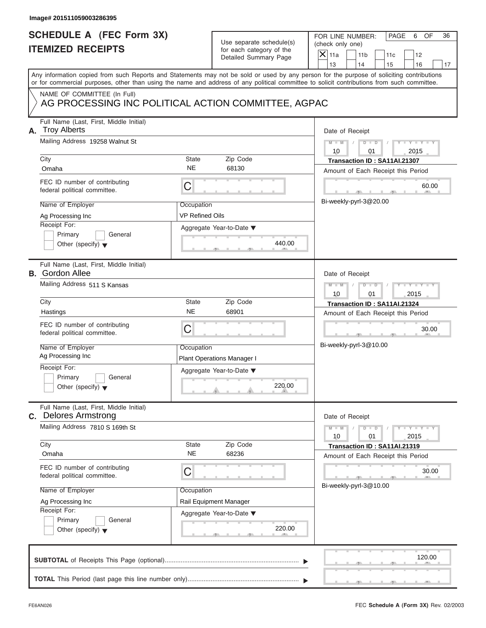### **SCHEDULE A (FEC Form 3X) ITEMIZED RECEIPTS**

FOR LINE NUMBER: PAGE 6 OF<br>(check only one)

|    | SCHEDULE A (FEC Form 3X)<br><b>ITEMIZED RECEIPTS</b>                                                                                                                                                                                                                                    |                                                         | Use separate schedule(s)<br>for each category of the | FOR LINE NUMBER:<br>PAGE<br>6<br>OF<br>36<br>(check only one)         |
|----|-----------------------------------------------------------------------------------------------------------------------------------------------------------------------------------------------------------------------------------------------------------------------------------------|---------------------------------------------------------|------------------------------------------------------|-----------------------------------------------------------------------|
|    |                                                                                                                                                                                                                                                                                         |                                                         | Detailed Summary Page                                | $X$ 11a<br>11 <sub>b</sub><br>11c<br>12<br>13<br>14<br>15<br>16<br>17 |
|    | Any information copied from such Reports and Statements may not be sold or used by any person for the purpose of soliciting contributions<br>or for commercial purposes, other than using the name and address of any political committee to solicit contributions from such committee. |                                                         |                                                      |                                                                       |
|    | NAME OF COMMITTEE (In Full)<br>AG PROCESSING INC POLITICAL ACTION COMMITTEE, AGPAC                                                                                                                                                                                                      |                                                         |                                                      |                                                                       |
| А. | Full Name (Last, First, Middle Initial)<br><b>Troy Alberts</b>                                                                                                                                                                                                                          |                                                         |                                                      | Date of Receipt                                                       |
|    | Mailing Address 19258 Walnut St<br>City                                                                                                                                                                                                                                                 | State                                                   | Zip Code                                             | $M - M$<br>D<br>10<br>2015<br>01                                      |
|    | Omaha                                                                                                                                                                                                                                                                                   | <b>NE</b>                                               | 68130                                                | Transaction ID: SA11AI.21307<br>Amount of Each Receipt this Period    |
|    | FEC ID number of contributing<br>federal political committee.                                                                                                                                                                                                                           | С                                                       |                                                      | 60.00                                                                 |
|    | Name of Employer<br>Ag Processing Inc                                                                                                                                                                                                                                                   | Occupation<br><b>VP Refined Oils</b>                    |                                                      | Bi-weekly-pyrl-3@20.00                                                |
|    | Receipt For:<br>Primary<br>General                                                                                                                                                                                                                                                      |                                                         | Aggregate Year-to-Date ▼                             |                                                                       |
|    | Other (specify) $\blacktriangledown$                                                                                                                                                                                                                                                    |                                                         | 440.00                                               |                                                                       |
|    | Full Name (Last, First, Middle Initial)<br><b>B.</b> Gordon Allee                                                                                                                                                                                                                       |                                                         |                                                      | Date of Receipt                                                       |
|    | Mailing Address 511 S Kansas                                                                                                                                                                                                                                                            | $M - M$<br>$\overline{D}$<br>$\Box$<br>2015<br>10<br>01 |                                                      |                                                                       |
|    | City<br>Hastings                                                                                                                                                                                                                                                                        | <b>State</b><br><b>NE</b>                               | Zip Code<br>68901                                    | Transaction ID: SA11AI.21324<br>Amount of Each Receipt this Period    |
|    | FEC ID number of contributing<br>federal political committee.                                                                                                                                                                                                                           | C                                                       |                                                      | 30.00                                                                 |
|    | Name of Employer<br>Ag Processing Inc                                                                                                                                                                                                                                                   | Occupation                                              | <b>Plant Operations Manager I</b>                    | Bi-weekly-pyrl-3@10.00                                                |
|    | Receipt For:                                                                                                                                                                                                                                                                            |                                                         | Aggregate Year-to-Date ▼                             |                                                                       |
|    | General<br>Primary<br>Other (specify) $\blacktriangledown$                                                                                                                                                                                                                              |                                                         | 220.00<br>and in                                     |                                                                       |
| С. | Full Name (Last, First, Middle Initial)<br><b>Delores Armstrong</b>                                                                                                                                                                                                                     |                                                         |                                                      | Date of Receipt                                                       |
|    | Mailing Address 7810 S 169th St                                                                                                                                                                                                                                                         |                                                         |                                                      | $Y = Y$<br>$M - M$<br>D<br>$\Box$<br>T<br>10<br>01<br>2015            |
|    | City<br>Omaha                                                                                                                                                                                                                                                                           | State<br>NE.                                            | Zip Code<br>68236                                    | Transaction ID: SA11AI.21319<br>Amount of Each Receipt this Period    |
|    | FEC ID number of contributing<br>federal political committee.                                                                                                                                                                                                                           | C                                                       |                                                      | 30.00                                                                 |
|    | Name of Employer                                                                                                                                                                                                                                                                        | Occupation                                              |                                                      | Bi-weekly-pyrl-3@10.00                                                |
|    | Ag Processing Inc<br>Receipt For:                                                                                                                                                                                                                                                       |                                                         | Rail Equipment Manager                               |                                                                       |
|    | Primary<br>General<br>Other (specify) $\blacktriangledown$                                                                                                                                                                                                                              |                                                         | Aggregate Year-to-Date ▼<br>220.00                   |                                                                       |
|    |                                                                                                                                                                                                                                                                                         |                                                         |                                                      | 120.00                                                                |
|    |                                                                                                                                                                                                                                                                                         |                                                         |                                                      |                                                                       |

S S S , , .

a.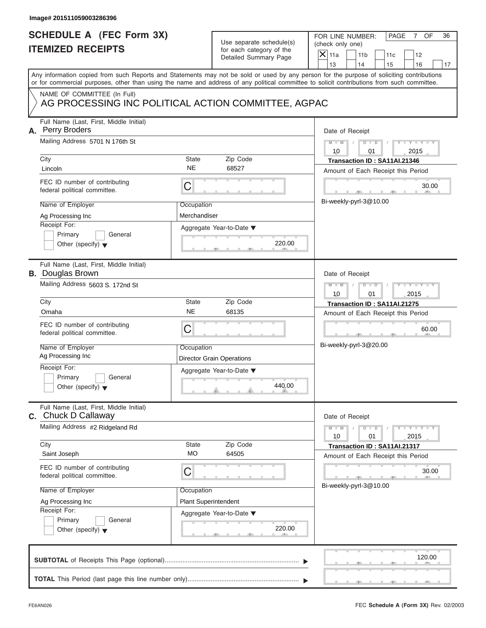# **SCHEDULE A (FEC Form 3X) ITEMIZED RECEIPTS**

FOR LINE NUMBER: PAGE 7 OF<br>(check only one)

| SCHEDULE A (FEC Form 3X)<br><b>ITEMIZED RECEIPTS</b>                                                                                                                                                                                                                                                                          | Use separate schedule(s)<br>for each category of the<br>Detailed Summary Page                                                                        | FOR LINE NUMBER:<br>PAGE<br>OF<br>36<br>7<br>(check only one)<br>$\mathsf{X}$ 11a<br>11 <sub>b</sub><br>12<br>11c                                                                                                                      |
|-------------------------------------------------------------------------------------------------------------------------------------------------------------------------------------------------------------------------------------------------------------------------------------------------------------------------------|------------------------------------------------------------------------------------------------------------------------------------------------------|----------------------------------------------------------------------------------------------------------------------------------------------------------------------------------------------------------------------------------------|
| Any information copied from such Reports and Statements may not be sold or used by any person for the purpose of soliciting contributions<br>or for commercial purposes, other than using the name and address of any political committee to solicit contributions from such committee.                                       |                                                                                                                                                      | 13<br>14<br>15<br>16<br>17                                                                                                                                                                                                             |
| NAME OF COMMITTEE (In Full)<br>AG PROCESSING INC POLITICAL ACTION COMMITTEE, AGPAC                                                                                                                                                                                                                                            |                                                                                                                                                      |                                                                                                                                                                                                                                        |
| Full Name (Last, First, Middle Initial)<br>A. Perry Broders<br>Mailing Address 5701 N 176th St<br>City<br>Lincoln<br>FEC ID number of contributing<br>C<br>federal political committee.<br>Name of Employer<br>Ag Processing Inc<br>Receipt For:<br>Primary<br>General<br>Other (specify) $\blacktriangledown$                | <b>State</b><br>Zip Code<br><b>NE</b><br>68527<br>Occupation<br>Merchandiser<br>Aggregate Year-to-Date ▼<br>220.00                                   | Date of Receipt<br>$M - M$<br>$D$ $\Box$ $D$<br>01<br>2015<br>10<br>Transaction ID: SA11AI.21346<br>Amount of Each Receipt this Period<br>30.00<br>Bi-weekly-pyrl-3@10.00                                                              |
| Full Name (Last, First, Middle Initial)<br><b>B.</b> Douglas Brown<br>Mailing Address 5603 S. 172nd St<br>City<br>Omaha<br>FEC ID number of contributing<br>C<br>federal political committee.<br>Name of Employer<br>Ag Processing Inc<br>Receipt For:<br>Primary<br>General<br>Other (specify) $\blacktriangledown$          | Zip Code<br><b>State</b><br><b>NE</b><br>68135<br>Occupation<br><b>Director Grain Operations</b><br>Aggregate Year-to-Date ▼<br>440.00<br><u>. A</u> | Date of Receipt<br>$M - M$<br>$D$ $D$<br>2015<br>10<br>01<br>Transaction ID: SA11AI.21275<br>Amount of Each Receipt this Period<br>60.00<br>Bi-weekly-pyrl-3@20.00                                                                     |
| Full Name (Last, First, Middle Initial)<br><b>C.</b> Chuck D Callaway<br>Mailing Address #2 Ridgeland Rd<br>City<br>Saint Joseph<br>FEC ID number of contributing<br>C<br>federal political committee.<br>Name of Employer<br>Ag Processing Inc<br>Receipt For:<br>Primary<br>General<br>Other (specify) $\blacktriangledown$ | Zip Code<br><b>State</b><br><b>MO</b><br>64505<br>Occupation<br><b>Plant Superintendent</b><br>Aggregate Year-to-Date ▼<br>220.00                    | Date of Receipt<br>$M - M$<br>$\mathbf{I} = \mathbf{Y} - \mathbf{I} - \mathbf{Y} - \mathbf{I}$<br>$D$ $D$<br>10<br>01<br>2015<br>Transaction ID: SA11AI.21317<br>Amount of Each Receipt this Period<br>30.00<br>Bi-weekly-pyrl-3@10.00 |
|                                                                                                                                                                                                                                                                                                                               |                                                                                                                                                      | 120.00                                                                                                                                                                                                                                 |

S S S , , .

a.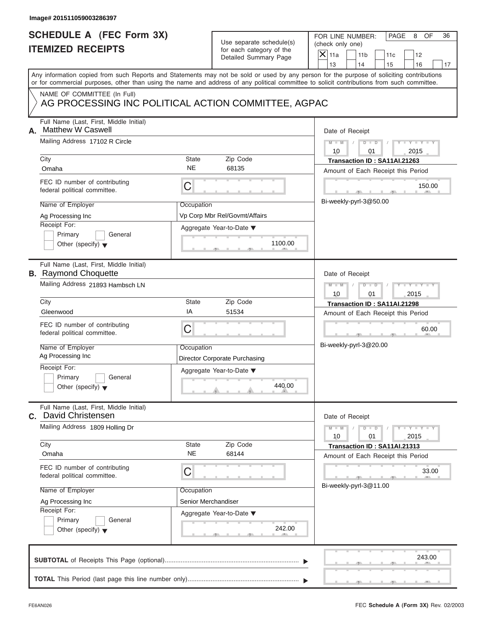# **SCHEDULE A (FEC Form 3X) ITEMIZED RECEIPTS**

| SCHEDULE A (FEC FOrm 3X)                                                                                                                                                                                                                                                                |                     | Use separate schedule(s)                          | FOR LINE NUMBER:<br>PAGE<br>8<br>OF<br>36<br>(check only one)                                |
|-----------------------------------------------------------------------------------------------------------------------------------------------------------------------------------------------------------------------------------------------------------------------------------------|---------------------|---------------------------------------------------|----------------------------------------------------------------------------------------------|
| <b>ITEMIZED RECEIPTS</b>                                                                                                                                                                                                                                                                |                     | for each category of the<br>Detailed Summary Page | $\overline{\mathsf{x}}$<br>11a<br>11 <sub>b</sub><br>12<br>11c<br>13<br>14<br>16<br>15<br>17 |
| Any information copied from such Reports and Statements may not be sold or used by any person for the purpose of soliciting contributions<br>or for commercial purposes, other than using the name and address of any political committee to solicit contributions from such committee. |                     |                                                   |                                                                                              |
| NAME OF COMMITTEE (In Full)<br>AG PROCESSING INC POLITICAL ACTION COMMITTEE, AGPAC                                                                                                                                                                                                      |                     |                                                   |                                                                                              |
| Full Name (Last, First, Middle Initial)<br><b>Matthew W Caswell</b><br>А.                                                                                                                                                                                                               |                     |                                                   | Date of Receipt                                                                              |
| Mailing Address 17102 R Circle<br>City                                                                                                                                                                                                                                                  | State               | Zip Code                                          | $Y = Y$<br>$M - M$<br>$D$ $D$<br>2015<br>10<br>01<br>Transaction ID: SA11AI.21263            |
| Omaha                                                                                                                                                                                                                                                                                   | <b>NE</b>           | 68135                                             | Amount of Each Receipt this Period                                                           |
| FEC ID number of contributing<br>federal political committee.                                                                                                                                                                                                                           | C                   |                                                   | 150.00                                                                                       |
| Name of Employer                                                                                                                                                                                                                                                                        | Occupation          |                                                   | Bi-weekly-pyrl-3@50.00                                                                       |
| Ag Processing Inc<br>Receipt For:                                                                                                                                                                                                                                                       |                     | Vp Corp Mbr Rel/Govmt/Affairs                     |                                                                                              |
| Primary<br>General                                                                                                                                                                                                                                                                      |                     | Aggregate Year-to-Date ▼                          |                                                                                              |
| Other (specify) $\blacktriangledown$                                                                                                                                                                                                                                                    |                     | 1100.00                                           |                                                                                              |
| Full Name (Last, First, Middle Initial)<br><b>B.</b> Raymond Choquette                                                                                                                                                                                                                  |                     |                                                   | Date of Receipt                                                                              |
| Mailing Address 21893 Hambsch LN                                                                                                                                                                                                                                                        |                     |                                                   | $M - M$<br>D<br>$\Box$<br>10<br>2015<br>01                                                   |
| City                                                                                                                                                                                                                                                                                    | <b>State</b>        | Zip Code                                          | Transaction ID: SA11AI.21298                                                                 |
| Gleenwood                                                                                                                                                                                                                                                                               | IA                  | 51534                                             | Amount of Each Receipt this Period                                                           |
| FEC ID number of contributing<br>federal political committee.                                                                                                                                                                                                                           | C                   |                                                   | 60.00                                                                                        |
| Name of Employer                                                                                                                                                                                                                                                                        | Occupation          |                                                   | Bi-weekly-pyrl-3@20.00                                                                       |
| Ag Processing Inc                                                                                                                                                                                                                                                                       |                     | Director Corporate Purchasing                     |                                                                                              |
| Receipt For:<br>Primary<br>General                                                                                                                                                                                                                                                      |                     | Aggregate Year-to-Date ▼                          |                                                                                              |
| Other (specify) $\blacktriangledown$                                                                                                                                                                                                                                                    |                     | 440.00<br>A                                       |                                                                                              |
| Full Name (Last, First, Middle Initial)<br>David Christensen<br>С.                                                                                                                                                                                                                      |                     |                                                   | Date of Receipt                                                                              |
| Mailing Address 1809 Holling Dr                                                                                                                                                                                                                                                         |                     |                                                   | $Y - Y - Y - Y - I$<br>$M - M$<br>$\overline{D}$<br>$\blacksquare$<br>10<br>01<br>2015       |
| City                                                                                                                                                                                                                                                                                    | State               | Zip Code                                          | Transaction ID: SA11AI.21313                                                                 |
| Omaha                                                                                                                                                                                                                                                                                   | NE.                 | 68144                                             | Amount of Each Receipt this Period                                                           |
| FEC ID number of contributing<br>federal political committee.                                                                                                                                                                                                                           | C                   |                                                   | 33.00                                                                                        |
| Name of Employer                                                                                                                                                                                                                                                                        | Occupation          |                                                   | Bi-weekly-pyrl-3@11.00                                                                       |
| Ag Processing Inc                                                                                                                                                                                                                                                                       | Senior Merchandiser |                                                   |                                                                                              |
| Receipt For:                                                                                                                                                                                                                                                                            |                     | Aggregate Year-to-Date ▼                          |                                                                                              |
| Primary<br>General<br>Other (specify) $\blacktriangledown$                                                                                                                                                                                                                              |                     | 242.00                                            |                                                                                              |
|                                                                                                                                                                                                                                                                                         |                     |                                                   | 243.00                                                                                       |
|                                                                                                                                                                                                                                                                                         |                     |                                                   |                                                                                              |

 $\overline{y}$  , . . . . . . . . . . .  $\overline{y}$  , .

FOR LINE NUMBER: PAGE 8 OF<br>(check only one)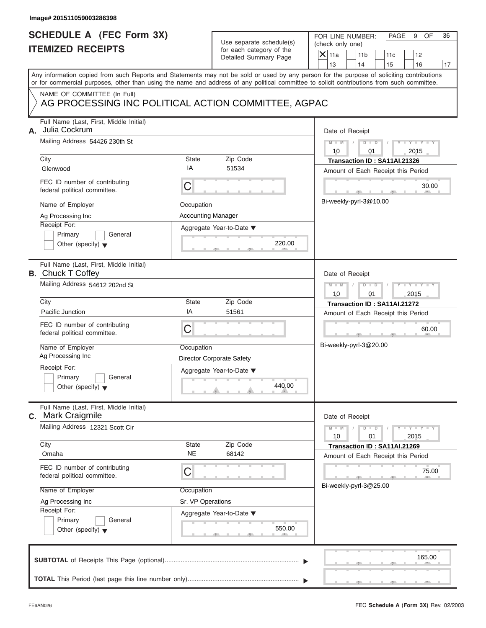# **SCHEDULE A (FEC Form 3X) ITEMIZED RECEIPTS**

|    | SCHEDULE A (FEC Form 3X)<br><b>ITEMIZED RECEIPTS</b>                                                                                                                                                                                                                                    |                                        | Use separate schedule(s)<br>for each category of the | FOR LINE NUMBER:<br>PAGE<br>9<br>OF<br>36<br>(check only one)         |
|----|-----------------------------------------------------------------------------------------------------------------------------------------------------------------------------------------------------------------------------------------------------------------------------------------|----------------------------------------|------------------------------------------------------|-----------------------------------------------------------------------|
|    |                                                                                                                                                                                                                                                                                         |                                        | Detailed Summary Page                                | $X$ 11a<br>11 <sub>b</sub><br>11c<br>12<br>13<br>14<br>15<br>16<br>17 |
|    | Any information copied from such Reports and Statements may not be sold or used by any person for the purpose of soliciting contributions<br>or for commercial purposes, other than using the name and address of any political committee to solicit contributions from such committee. |                                        |                                                      |                                                                       |
|    | NAME OF COMMITTEE (In Full)<br>AG PROCESSING INC POLITICAL ACTION COMMITTEE, AGPAC                                                                                                                                                                                                      |                                        |                                                      |                                                                       |
| А. | Full Name (Last, First, Middle Initial)<br>Julia Cockrum                                                                                                                                                                                                                                |                                        |                                                      | Date of Receipt                                                       |
|    | Mailing Address 54426 230th St<br>City                                                                                                                                                                                                                                                  | <b>State</b>                           | Zip Code                                             | $M - M$<br>D<br>10<br>2015<br>01<br>Transaction ID: SA11AI.21326      |
|    | Glenwood                                                                                                                                                                                                                                                                                | IA                                     | 51534                                                | Amount of Each Receipt this Period                                    |
|    | FEC ID number of contributing<br>federal political committee.                                                                                                                                                                                                                           | C                                      |                                                      | 30.00                                                                 |
|    | Name of Employer                                                                                                                                                                                                                                                                        | Occupation                             |                                                      | Bi-weekly-pyrl-3@10.00                                                |
|    | Ag Processing Inc                                                                                                                                                                                                                                                                       | <b>Accounting Manager</b>              |                                                      |                                                                       |
|    | Receipt For:<br>Primary<br>General                                                                                                                                                                                                                                                      |                                        | Aggregate Year-to-Date ▼                             |                                                                       |
|    | Other (specify) $\blacktriangledown$                                                                                                                                                                                                                                                    |                                        | 220.00                                               |                                                                       |
|    | Full Name (Last, First, Middle Initial)<br><b>B.</b> Chuck T Coffey                                                                                                                                                                                                                     |                                        |                                                      | Date of Receipt                                                       |
|    | Mailing Address 54612 202nd St                                                                                                                                                                                                                                                          | $M - M$<br>$D$ $D$<br>2015<br>10<br>01 |                                                      |                                                                       |
|    | City                                                                                                                                                                                                                                                                                    | <b>State</b>                           | Zip Code                                             | Transaction ID: SA11AI.21272                                          |
|    | Pacific Junction                                                                                                                                                                                                                                                                        | ΙA                                     | 51561                                                | Amount of Each Receipt this Period                                    |
|    | FEC ID number of contributing<br>federal political committee.                                                                                                                                                                                                                           | C                                      |                                                      | 60.00                                                                 |
|    | Name of Employer<br>Ag Processing Inc                                                                                                                                                                                                                                                   | Occupation                             |                                                      | Bi-weekly-pyrl-3@20.00                                                |
|    | Receipt For:                                                                                                                                                                                                                                                                            |                                        | <b>Director Corporate Safety</b>                     |                                                                       |
|    | General<br>Primary                                                                                                                                                                                                                                                                      |                                        | Aggregate Year-to-Date ▼                             |                                                                       |
|    | Other (specify) $\blacktriangledown$                                                                                                                                                                                                                                                    |                                        | 440.00<br>and in                                     |                                                                       |
| С. | Full Name (Last, First, Middle Initial)<br>Mark Craigmile                                                                                                                                                                                                                               |                                        |                                                      | Date of Receipt                                                       |
|    | Mailing Address 12321 Scott Cir                                                                                                                                                                                                                                                         |                                        |                                                      | $Y = Y$<br>$M - M$<br>D<br>$\Box$<br>T<br>10<br>01<br>2015            |
|    | City                                                                                                                                                                                                                                                                                    | State                                  | Zip Code                                             | Transaction ID: SA11AI.21269                                          |
|    | Omaha                                                                                                                                                                                                                                                                                   | <b>NE</b>                              | 68142                                                | Amount of Each Receipt this Period                                    |
|    | FEC ID number of contributing<br>federal political committee.                                                                                                                                                                                                                           | С                                      |                                                      | 75.00<br>Bi-weekly-pyrl-3@25.00                                       |
|    | Name of Employer                                                                                                                                                                                                                                                                        | Occupation                             |                                                      |                                                                       |
|    | Ag Processing Inc                                                                                                                                                                                                                                                                       | Sr. VP Operations                      |                                                      |                                                                       |
|    | Receipt For:<br>Primary<br>General                                                                                                                                                                                                                                                      |                                        | Aggregate Year-to-Date ▼                             |                                                                       |
|    | Other (specify) $\blacktriangledown$                                                                                                                                                                                                                                                    |                                        | 550.00                                               |                                                                       |
|    |                                                                                                                                                                                                                                                                                         |                                        |                                                      | 165.00                                                                |
|    |                                                                                                                                                                                                                                                                                         |                                        |                                                      |                                                                       |

 $\overline{y}$  , . . . . . . . . . . .  $\overline{y}$  , .

FOR LINE NUMBER: PAGE 9 OF<br>(check only one)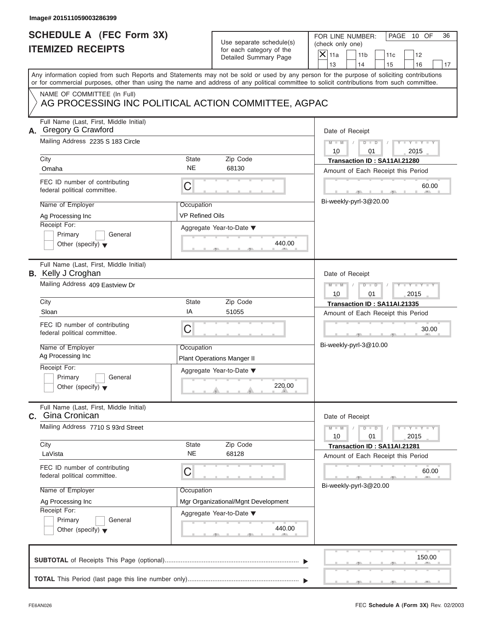| Image# 201511059003286399                                                                                                                  |                                                           |                                                                               |                                                                                                                                            |  |  |
|--------------------------------------------------------------------------------------------------------------------------------------------|-----------------------------------------------------------|-------------------------------------------------------------------------------|--------------------------------------------------------------------------------------------------------------------------------------------|--|--|
| <b>SCHEDULE A (FEC Form 3X)</b><br><b>ITEMIZED RECEIPTS</b>                                                                                |                                                           | Use separate schedule(s)<br>for each category of the<br>Detailed Summary Page | FOR LINE NUMBER:<br>PAGE 10 OF<br>36<br>(check only one)<br>$\mathsf{X}$ 11a<br>11 <sub>b</sub><br>11c<br>12<br>13<br>14<br>15<br>16<br>17 |  |  |
| or for commercial purposes, other than using the name and address of any political committee to solicit contributions from such committee. |                                                           |                                                                               | Any information copied from such Reports and Statements may not be sold or used by any person for the purpose of soliciting contributions  |  |  |
| NAME OF COMMITTEE (In Full)<br>AG PROCESSING INC POLITICAL ACTION COMMITTEE, AGPAC                                                         |                                                           |                                                                               |                                                                                                                                            |  |  |
| Full Name (Last, First, Middle Initial)<br>A. Gregory G Crawford<br>Mailing Address 2235 S 183 Circle<br>City                              | State                                                     | Zip Code                                                                      | Date of Receipt<br>$M - M$<br>$D$ $D$<br>$Y - Y - Y - Y$<br>10<br>01<br>2015<br>Transaction ID: SA11AI.21280                               |  |  |
| Omaha                                                                                                                                      | <b>NE</b>                                                 | 68130                                                                         | Amount of Each Receipt this Period                                                                                                         |  |  |
| FEC ID number of contributing<br>federal political committee.                                                                              | C                                                         |                                                                               | 60.00                                                                                                                                      |  |  |
| Name of Employer<br>Ag Processing Inc<br>Receipt For:                                                                                      | Occupation<br>VP Refined Oils                             |                                                                               | Bi-weekly-pyrl-3@20.00                                                                                                                     |  |  |
| Primary<br>General<br>Other (specify) $\blacktriangledown$                                                                                 |                                                           | Aggregate Year-to-Date ▼<br>440.00                                            |                                                                                                                                            |  |  |
| Full Name (Last, First, Middle Initial)<br><b>B.</b> Kelly J Croghan                                                                       |                                                           |                                                                               | Date of Receipt                                                                                                                            |  |  |
| Mailing Address 409 Eastview Dr                                                                                                            | $M - M$<br>$D - I - D$<br>Y T Y T Y T<br>2015<br>10<br>01 |                                                                               |                                                                                                                                            |  |  |
| City<br>Sloan                                                                                                                              | State<br>ΙA                                               | Zip Code<br>51055                                                             | Transaction ID: SA11AI.21335                                                                                                               |  |  |
| FEC ID number of contributing<br>federal political committee.                                                                              | C                                                         |                                                                               | Amount of Each Receipt this Period<br>30.00<br>$-9$                                                                                        |  |  |
| Name of Employer<br>Ag Processing Inc                                                                                                      | Occupation                                                | <b>Plant Operations Manger II</b>                                             | Bi-weekly-pyrl-3@10.00                                                                                                                     |  |  |
| Receipt For:<br>Primary<br>General<br>Other (specify) $\blacktriangledown$                                                                 |                                                           | Aggregate Year-to-Date $\blacktriangledown$<br>220.00                         |                                                                                                                                            |  |  |
| Full Name (Last, First, Middle Initial)<br>C. Gina Cronican                                                                                |                                                           |                                                                               | Date of Receipt                                                                                                                            |  |  |
| Mailing Address 7710 S 93rd Street                                                                                                         |                                                           |                                                                               | $M - M$<br>$Y = Y$<br>$D$ $D$<br>10<br>01<br>2015                                                                                          |  |  |
| City<br>LaVista                                                                                                                            | State<br><b>NE</b>                                        | Zip Code<br>68128                                                             | Transaction ID: SA11AI.21281<br>Amount of Each Receipt this Period                                                                         |  |  |
| FEC ID number of contributing<br>federal political committee.                                                                              | С                                                         |                                                                               | 60.00<br>Bi-weekly-pyrl-3@20.00                                                                                                            |  |  |
| Name of Employer                                                                                                                           | Occupation                                                | Mgr Organizational/Mgnt Development                                           |                                                                                                                                            |  |  |
| Ag Processing Inc<br>Receipt For:<br>Primary<br>General<br>Other (specify) $\blacktriangledown$                                            |                                                           | Aggregate Year-to-Date ▼<br>440.00                                            |                                                                                                                                            |  |  |
|                                                                                                                                            |                                                           |                                                                               | 150.00                                                                                                                                     |  |  |
|                                                                                                                                            |                                                           |                                                                               |                                                                                                                                            |  |  |

S S S , , .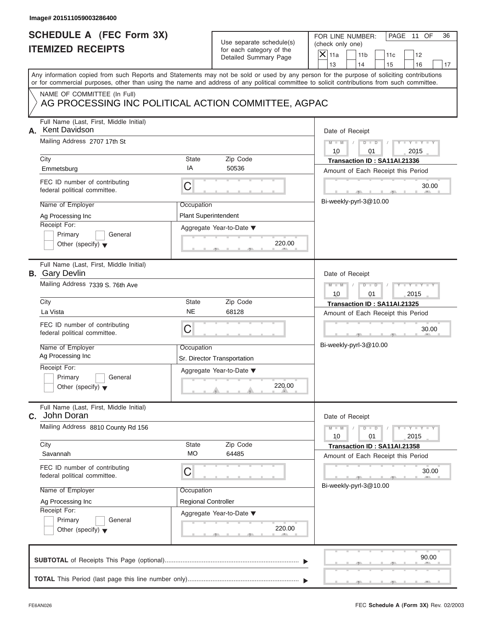|    | Image# 201511059003286400                                        |                             |                                                      |                                                                                                                                                                                                                                                                                         |    |
|----|------------------------------------------------------------------|-----------------------------|------------------------------------------------------|-----------------------------------------------------------------------------------------------------------------------------------------------------------------------------------------------------------------------------------------------------------------------------------------|----|
|    | <b>SCHEDULE A (FEC Form 3X)</b><br><b>ITEMIZED RECEIPTS</b>      |                             | Use separate schedule(s)<br>for each category of the | FOR LINE NUMBER:<br>PAGE 11 OF<br>(check only one)<br>$X$ 11a<br>11 <sub>b</sub><br>11c<br>12                                                                                                                                                                                           | 36 |
|    |                                                                  |                             | Detailed Summary Page                                | 13<br>14<br>15<br>16                                                                                                                                                                                                                                                                    | 17 |
|    |                                                                  |                             |                                                      | Any information copied from such Reports and Statements may not be sold or used by any person for the purpose of soliciting contributions<br>or for commercial purposes, other than using the name and address of any political committee to solicit contributions from such committee. |    |
|    | NAME OF COMMITTEE (In Full)                                      |                             |                                                      |                                                                                                                                                                                                                                                                                         |    |
|    | AG PROCESSING INC POLITICAL ACTION COMMITTEE, AGPAC              |                             |                                                      |                                                                                                                                                                                                                                                                                         |    |
| А. | Full Name (Last, First, Middle Initial)<br><b>Kent Davidson</b>  |                             |                                                      | Date of Receipt                                                                                                                                                                                                                                                                         |    |
|    | Mailing Address 2707 17th St                                     |                             |                                                      | $D$ $D$<br>$Y - Y - Y - Y$<br>$M - M$<br>10<br>2015<br>01                                                                                                                                                                                                                               |    |
|    | City                                                             | <b>State</b>                | Zip Code                                             | Transaction ID: SA11AI.21336                                                                                                                                                                                                                                                            |    |
|    | Emmetsburg                                                       | IA                          | 50536                                                | Amount of Each Receipt this Period                                                                                                                                                                                                                                                      |    |
|    | FEC ID number of contributing<br>federal political committee.    | $\mathsf C$                 |                                                      | 30.00                                                                                                                                                                                                                                                                                   |    |
|    | Name of Employer                                                 | Occupation                  |                                                      | Bi-weekly-pyrl-3@10.00                                                                                                                                                                                                                                                                  |    |
|    | Ag Processing Inc                                                | <b>Plant Superintendent</b> |                                                      |                                                                                                                                                                                                                                                                                         |    |
|    | Receipt For:                                                     |                             | Aggregate Year-to-Date ▼                             |                                                                                                                                                                                                                                                                                         |    |
|    | Primary<br>General                                               |                             |                                                      |                                                                                                                                                                                                                                                                                         |    |
|    | Other (specify) $\blacktriangledown$                             |                             | 220.00                                               |                                                                                                                                                                                                                                                                                         |    |
|    | Full Name (Last, First, Middle Initial)<br><b>B.</b> Gary Devlin |                             |                                                      | Date of Receipt                                                                                                                                                                                                                                                                         |    |
|    | Mailing Address 7339 S. 76th Ave                                 |                             |                                                      | $M - M$<br>$D$ $D$<br>10<br>01<br>2015                                                                                                                                                                                                                                                  |    |
|    | City                                                             | <b>State</b>                | Zip Code                                             | Transaction ID: SA11AI.21325                                                                                                                                                                                                                                                            |    |
|    | La Vista                                                         | <b>NE</b>                   | 68128                                                | Amount of Each Receipt this Period                                                                                                                                                                                                                                                      |    |
|    | FEC ID number of contributing<br>federal political committee.    | C                           |                                                      | 30.00<br>$-7-$                                                                                                                                                                                                                                                                          |    |
|    | Name of Employer                                                 | Occupation                  |                                                      | Bi-weekly-pyrl-3@10.00                                                                                                                                                                                                                                                                  |    |
|    | Ag Processing Inc                                                |                             | Sr. Director Transportation                          |                                                                                                                                                                                                                                                                                         |    |
|    | Receipt For:                                                     |                             | Aggregate Year-to-Date ▼                             |                                                                                                                                                                                                                                                                                         |    |
|    | Primary<br>General<br>Other (specify) $\blacktriangledown$       |                             | 220.00                                               |                                                                                                                                                                                                                                                                                         |    |
| C. | Full Name (Last, First, Middle Initial)<br>John Doran            |                             |                                                      | Date of Receipt                                                                                                                                                                                                                                                                         |    |
|    | Mailing Address 8810 County Rd 156                               |                             |                                                      | $Y - Y - Y - I$<br>$M - M$<br>$D$ $D$<br>2015<br>10<br>01                                                                                                                                                                                                                               |    |
|    | City                                                             | State                       | Zip Code                                             | Transaction ID: SA11AI.21358                                                                                                                                                                                                                                                            |    |
|    | Savannah                                                         | МO                          | 64485                                                | Amount of Each Receipt this Period                                                                                                                                                                                                                                                      |    |
|    | FEC ID number of contributing<br>federal political committee.    | C                           |                                                      | 30.00                                                                                                                                                                                                                                                                                   |    |
|    | Name of Employer                                                 | Occupation                  |                                                      | Bi-weekly-pyrl-3@10.00                                                                                                                                                                                                                                                                  |    |
|    | Ag Processing Inc                                                | <b>Regional Controller</b>  |                                                      |                                                                                                                                                                                                                                                                                         |    |
|    | Receipt For:                                                     |                             | Aggregate Year-to-Date ▼                             |                                                                                                                                                                                                                                                                                         |    |
|    | Primary<br>General                                               |                             | 220.00                                               |                                                                                                                                                                                                                                                                                         |    |
|    | Other (specify) $\blacktriangledown$                             |                             |                                                      |                                                                                                                                                                                                                                                                                         |    |
|    |                                                                  |                             |                                                      | 90.00                                                                                                                                                                                                                                                                                   |    |
|    |                                                                  |                             |                                                      |                                                                                                                                                                                                                                                                                         |    |
|    |                                                                  |                             |                                                      |                                                                                                                                                                                                                                                                                         |    |

 $S = 1, 1, 2, 3, ...$  ,  $S = 1, 3, ...$  ,  $S = 1, 3, ...$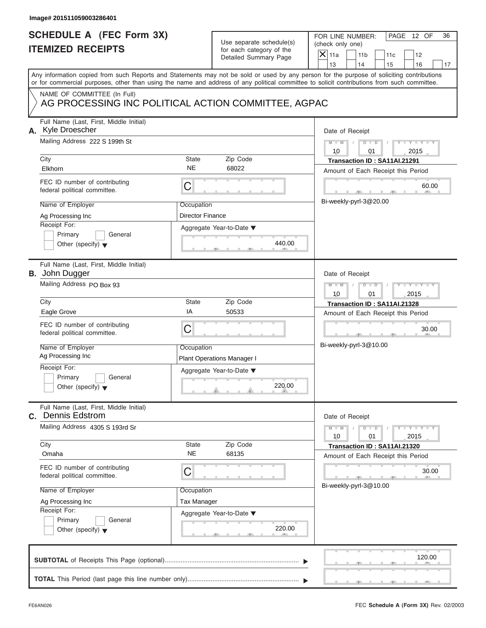| Image# 201511059003286401                                                                                                                                                                                                                                                                                    |                                                                                                                                |                                                                                                                                                                                           |
|--------------------------------------------------------------------------------------------------------------------------------------------------------------------------------------------------------------------------------------------------------------------------------------------------------------|--------------------------------------------------------------------------------------------------------------------------------|-------------------------------------------------------------------------------------------------------------------------------------------------------------------------------------------|
| <b>SCHEDULE A (FEC Form 3X)</b><br><b>ITEMIZED RECEIPTS</b>                                                                                                                                                                                                                                                  | Use separate schedule(s)<br>for each category of the<br>Detailed Summary Page                                                  | FOR LINE NUMBER:<br>PAGE 12 OF<br>36<br>(check only one)<br>$\overline{X}$ 11a<br>11 <sub>b</sub><br>11c<br>12<br>13<br>14<br>15<br>16<br>17                                              |
| or for commercial purposes, other than using the name and address of any political committee to solicit contributions from such committee.                                                                                                                                                                   |                                                                                                                                | Any information copied from such Reports and Statements may not be sold or used by any person for the purpose of soliciting contributions                                                 |
| NAME OF COMMITTEE (In Full)                                                                                                                                                                                                                                                                                  | AG PROCESSING INC POLITICAL ACTION COMMITTEE, AGPAC                                                                            |                                                                                                                                                                                           |
| Full Name (Last, First, Middle Initial)<br>A. Kyle Droescher<br>Mailing Address 222 S 199th St<br>City<br>Elkhorn                                                                                                                                                                                            | State<br>Zip Code<br><b>NE</b><br>68022                                                                                        | Date of Receipt<br>$M - M$<br>$D$ $D$<br>Y TYT<br>10<br>2015<br>01<br>Transaction ID: SA11AI.21291<br>Amount of Each Receipt this Period                                                  |
| FEC ID number of contributing<br>federal political committee.<br>Name of Employer<br>Ag Processing Inc<br>Receipt For:<br>Primary<br>General<br>Other (specify) $\blacktriangledown$                                                                                                                         | C<br>Occupation<br><b>Director Finance</b><br>Aggregate Year-to-Date ▼<br>440.00                                               | 60.00<br>Bi-weekly-pyrl-3@20.00                                                                                                                                                           |
| Full Name (Last, First, Middle Initial)<br><b>B.</b> John Dugger<br>Mailing Address PO Box 93<br>City<br>Eagle Grove<br>FEC ID number of contributing<br>federal political committee.<br>Name of Employer<br>Ag Processing Inc<br>Receipt For:<br>Primary<br>General<br>Other (specify) $\blacktriangledown$ | State<br>Zip Code<br>ΙA<br>50533<br>C<br>Occupation<br><b>Plant Operations Manager I</b><br>Aggregate Year-to-Date ▼<br>220.00 | Date of Receipt<br>$M - M$<br>$D$ $\Box$ $D$<br>Y TY<br>10<br>01<br>2015<br>Transaction ID: SA11AI.21328<br>Amount of Each Receipt this Period<br>30.00<br>$-9$<br>Bi-weekly-pyrl-3@10.00 |
| Full Name (Last, First, Middle Initial)<br>C. Dennis Edstrom<br>Mailing Address 4305 S 193rd Sr<br>City<br>Omaha<br>FEC ID number of contributing<br>federal political committee.<br>Name of Employer<br>Ag Processing Inc<br>Receipt For:<br>Primary<br>General<br>Other (specify) $\blacktriangledown$     | Zip Code<br>State<br><b>NE</b><br>68135<br>С<br>Occupation<br>Tax Manager<br>Aggregate Year-to-Date ▼<br>220.00                | Date of Receipt<br>$M - M$<br>$Y - Y$<br>$D - D$<br>2015<br>10<br>01<br>Transaction ID: SA11AI.21320<br>Amount of Each Receipt this Period<br>30.00<br>Bi-weekly-pyrl-3@10.00             |
|                                                                                                                                                                                                                                                                                                              |                                                                                                                                | 120.00                                                                                                                                                                                    |

S S S , , .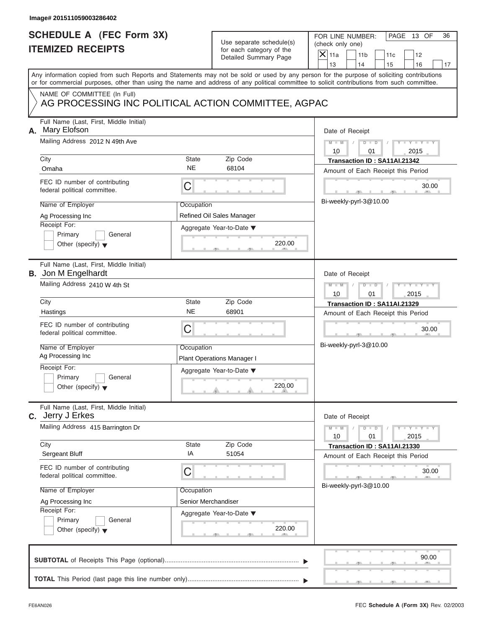|    | Image# 201511059003286402                                                                                                                  |                                   |                                                                               |                                                                                                                                                                         |
|----|--------------------------------------------------------------------------------------------------------------------------------------------|-----------------------------------|-------------------------------------------------------------------------------|-------------------------------------------------------------------------------------------------------------------------------------------------------------------------|
|    | <b>SCHEDULE A (FEC Form 3X)</b><br><b>ITEMIZED RECEIPTS</b>                                                                                |                                   | Use separate schedule(s)<br>for each category of the<br>Detailed Summary Page | FOR LINE NUMBER:<br>PAGE 13 OF<br>36<br>(check only one)<br>$\overline{X}$ 11a<br>11 <sub>b</sub><br>11c<br>12                                                          |
|    | or for commercial purposes, other than using the name and address of any political committee to solicit contributions from such committee. |                                   |                                                                               | 13<br>14<br>15<br>16<br>17<br>Any information copied from such Reports and Statements may not be sold or used by any person for the purpose of soliciting contributions |
|    | NAME OF COMMITTEE (In Full)<br>AG PROCESSING INC POLITICAL ACTION COMMITTEE, AGPAC                                                         |                                   |                                                                               |                                                                                                                                                                         |
| А. | Full Name (Last, First, Middle Initial)<br>Mary Elofson<br>Mailing Address 2012 N 49th Ave                                                 |                                   |                                                                               | Date of Receipt<br>$M - M$<br>$D$ $D$<br>Y TYT<br>10<br>2015<br>01                                                                                                      |
|    | City<br>Omaha                                                                                                                              | State<br><b>NE</b>                | Zip Code<br>68104                                                             | Transaction ID: SA11AI.21342                                                                                                                                            |
|    | FEC ID number of contributing<br>federal political committee.                                                                              | C                                 |                                                                               | Amount of Each Receipt this Period<br>30.00<br>Bi-weekly-pyrl-3@10.00                                                                                                   |
|    | Name of Employer<br>Ag Processing Inc<br>Receipt For:<br>Primary<br>General<br>Other (specify) $\blacktriangledown$                        | Occupation                        | Refined Oil Sales Manager<br>Aggregate Year-to-Date ▼<br>220.00               |                                                                                                                                                                         |
|    | Full Name (Last, First, Middle Initial)<br><b>B.</b> Jon M Engelhardt<br>Mailing Address 2410 W 4th St                                     |                                   |                                                                               | Date of Receipt<br>$M - M$<br>$D$ $\Box$ $D$<br>$Y - Y - I$<br>10<br>01<br>2015                                                                                         |
|    | City<br>Hastings<br>FEC ID number of contributing<br>federal political committee.                                                          | State<br><b>NE</b><br>C           | Zip Code<br>68901                                                             | Transaction ID: SA11AI.21329<br>Amount of Each Receipt this Period<br>30.00<br>$-9$<br>Bi-weekly-pyrl-3@10.00                                                           |
|    | Name of Employer<br>Ag Processing Inc<br>Receipt For:<br>Primary<br>General<br>Other (specify) $\blacktriangledown$                        | Occupation                        | <b>Plant Operations Manager I</b><br>Aggregate Year-to-Date ▼<br>220.00       |                                                                                                                                                                         |
|    | Full Name (Last, First, Middle Initial)<br>C. Jerry J Erkes                                                                                |                                   |                                                                               | Date of Receipt                                                                                                                                                         |
|    | Mailing Address 415 Barrington Dr<br>City                                                                                                  | State                             | Zip Code                                                                      | $Y - Y$<br>$M - M$<br>$D - D$<br>2015<br>10<br>01<br>Transaction ID: SA11AI.21330                                                                                       |
|    | Sergeant Bluff<br>FEC ID number of contributing<br>federal political committee.                                                            | IA<br>С                           | 51054                                                                         | Amount of Each Receipt this Period<br>30.00                                                                                                                             |
|    | Name of Employer<br>Ag Processing Inc<br>Receipt For:<br>Primary<br>General<br>Other (specify) $\blacktriangledown$                        | Occupation<br>Senior Merchandiser | Aggregate Year-to-Date ▼<br>220.00                                            | Bi-weekly-pyrl-3@10.00                                                                                                                                                  |
|    |                                                                                                                                            |                                   |                                                                               | 90.00                                                                                                                                                                   |
|    |                                                                                                                                            |                                   |                                                                               |                                                                                                                                                                         |

 $S = 1 - 1 - 2$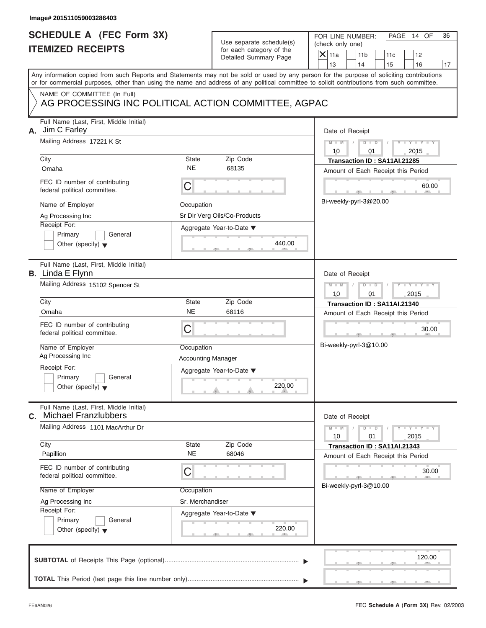|    | Image# 201511059003286403                                                                                                                                                            |                                              |                                                                               |                                                                                                                                                       |
|----|--------------------------------------------------------------------------------------------------------------------------------------------------------------------------------------|----------------------------------------------|-------------------------------------------------------------------------------|-------------------------------------------------------------------------------------------------------------------------------------------------------|
|    | <b>SCHEDULE A (FEC Form 3X)</b><br><b>ITEMIZED RECEIPTS</b>                                                                                                                          |                                              | Use separate schedule(s)<br>for each category of the<br>Detailed Summary Page | FOR LINE NUMBER:<br>PAGE 14 OF<br>36<br>(check only one)<br>$\overline{X}$ 11a<br>11 <sub>b</sub><br>11c<br>12<br>13<br>14<br>17                      |
|    | or for commercial purposes, other than using the name and address of any political committee to solicit contributions from such committee.                                           |                                              |                                                                               | 15<br>16<br>Any information copied from such Reports and Statements may not be sold or used by any person for the purpose of soliciting contributions |
|    | NAME OF COMMITTEE (In Full)<br>AG PROCESSING INC POLITICAL ACTION COMMITTEE, AGPAC                                                                                                   |                                              |                                                                               |                                                                                                                                                       |
| А. | Full Name (Last, First, Middle Initial)<br>Jim C Farley<br>Mailing Address 17221 K St<br>City                                                                                        | State                                        | Zip Code                                                                      | Date of Receipt<br>$M - M$<br>$D$ $D$<br>Y TYT<br>10<br>2015<br>01<br>Transaction ID: SA11AI.21285                                                    |
|    | Omaha<br>FEC ID number of contributing<br>federal political committee.                                                                                                               | <b>NE</b><br>C                               | 68135                                                                         | Amount of Each Receipt this Period<br>60.00                                                                                                           |
|    | Name of Employer<br>Ag Processing Inc<br>Receipt For:<br>Primary<br>General<br>Other (specify) $\blacktriangledown$                                                                  | Occupation                                   | Sr Dir Verg Oils/Co-Products<br>Aggregate Year-to-Date ▼<br>440.00            | Bi-weekly-pyrl-3@20.00                                                                                                                                |
|    | Full Name (Last, First, Middle Initial)<br><b>B.</b> Linda E Flynn<br>Mailing Address 15102 Spencer St<br>City<br>Omaha                                                              | State<br><b>NE</b>                           | Zip Code<br>68116                                                             | Date of Receipt<br>$M - M$<br>$D$ $\Box$ $D$<br>Y TY<br>10<br>01<br>2015<br>Transaction ID: SA11AI.21340                                              |
|    | FEC ID number of contributing<br>federal political committee.<br>Name of Employer<br>Ag Processing Inc<br>Receipt For:<br>Primary<br>General<br>Other (specify) $\blacktriangledown$ | C<br>Occupation<br><b>Accounting Manager</b> | Aggregate Year-to-Date ▼<br>220.00                                            | Amount of Each Receipt this Period<br>30.00<br>$-9$<br>Bi-weekly-pyrl-3@10.00                                                                         |
| С. | Full Name (Last, First, Middle Initial)<br><b>Michael Franzlubbers</b><br>Mailing Address 1101 MacArthur Dr<br>City<br>Papillion                                                     | State<br><b>NE</b>                           | Zip Code<br>68046                                                             | Date of Receipt<br>$M - M$<br>$Y - Y$<br>$D - D$<br>2015<br>10<br>01<br>Transaction ID: SA11AI.21343<br>Amount of Each Receipt this Period            |
|    | FEC ID number of contributing<br>federal political committee.<br>Name of Employer<br>Ag Processing Inc<br>Receipt For:<br>Primary<br>General<br>Other (specify) $\blacktriangledown$ | С<br>Occupation<br>Sr. Merchandiser          | Aggregate Year-to-Date ▼<br>220.00                                            | 30.00<br>Bi-weekly-pyrl-3@10.00                                                                                                                       |
|    |                                                                                                                                                                                      |                                              |                                                                               | 120.00                                                                                                                                                |
|    |                                                                                                                                                                                      |                                              |                                                                               |                                                                                                                                                       |

S S S , , .

a.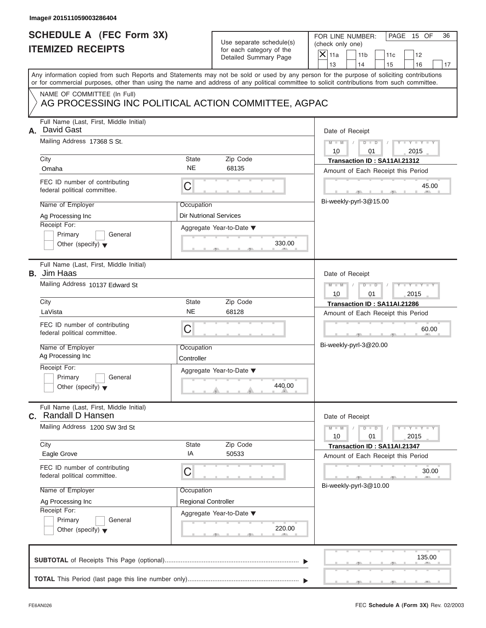|    | Image# 201511059003286404                                                                                                                                                                                                                                                                                                                              |                                                                        |                                                                               |                                                                                                                                                                                        |
|----|--------------------------------------------------------------------------------------------------------------------------------------------------------------------------------------------------------------------------------------------------------------------------------------------------------------------------------------------------------|------------------------------------------------------------------------|-------------------------------------------------------------------------------|----------------------------------------------------------------------------------------------------------------------------------------------------------------------------------------|
|    | <b>SCHEDULE A (FEC Form 3X)</b><br><b>ITEMIZED RECEIPTS</b>                                                                                                                                                                                                                                                                                            |                                                                        | Use separate schedule(s)<br>for each category of the<br>Detailed Summary Page | FOR LINE NUMBER:<br>PAGE 15 OF<br>36<br>(check only one)<br>$\overline{X}$ 11a<br>11 <sub>b</sub><br>11c<br>12<br>13<br>14<br>15<br>16<br>17                                           |
|    | or for commercial purposes, other than using the name and address of any political committee to solicit contributions from such committee.                                                                                                                                                                                                             |                                                                        |                                                                               | Any information copied from such Reports and Statements may not be sold or used by any person for the purpose of soliciting contributions                                              |
|    | NAME OF COMMITTEE (In Full)<br>AG PROCESSING INC POLITICAL ACTION COMMITTEE, AGPAC                                                                                                                                                                                                                                                                     |                                                                        |                                                                               |                                                                                                                                                                                        |
| А. | Full Name (Last, First, Middle Initial)<br>David Gast<br>Mailing Address 17368 S St.<br>City<br>Omaha<br>FEC ID number of contributing<br>federal political committee.<br>Name of Employer<br>Ag Processing Inc                                                                                                                                        | State<br><b>NE</b><br>C<br>Occupation<br><b>Dir Nutrional Services</b> | Zip Code<br>68135                                                             | Date of Receipt<br>$M - M$<br>$D$ $D$<br>$Y - Y - Y$<br>10<br>2015<br>01<br>Transaction ID: SA11AI.21312<br>Amount of Each Receipt this Period<br>45.00<br>Bi-weekly-pyrl-3@15.00      |
|    | Receipt For:<br>Primary<br>General<br>Other (specify) $\blacktriangledown$                                                                                                                                                                                                                                                                             |                                                                        | Aggregate Year-to-Date ▼<br>330.00                                            |                                                                                                                                                                                        |
|    | Full Name (Last, First, Middle Initial)<br><b>B.</b> Jim Haas<br>Mailing Address 10137 Edward St<br>City<br>LaVista<br>FEC ID number of contributing<br>federal political committee.<br>Name of Employer<br>Ag Processing Inc<br>Receipt For:<br>Primary<br>General<br>Other (specify) $\blacktriangledown$<br>Full Name (Last, First, Middle Initial) | State<br><b>NE</b><br>C<br>Occupation<br>Controller                    | Zip Code<br>68128<br>Aggregate Year-to-Date ▼<br>440.00                       | Date of Receipt<br>Y TYTTYT<br>$M - M$<br>$D$ $D$<br>10<br>01<br>2015<br>Transaction ID: SA11AI.21286<br>Amount of Each Receipt this Period<br>60.00<br>$-9$<br>Bi-weekly-pyrl-3@20.00 |
|    | C. Randall D Hansen<br>Mailing Address 1200 SW 3rd St<br>City<br>Eagle Grove<br>FEC ID number of contributing<br>federal political committee.<br>Name of Employer<br>Ag Processing Inc<br>Receipt For:<br>Primary<br>General<br>Other (specify) $\blacktriangledown$                                                                                   | State<br>IA<br>С<br>Occupation<br><b>Regional Controller</b>           | Zip Code<br>50533<br>Aggregate Year-to-Date ▼<br>220.00                       | Date of Receipt<br>$M - M$<br>$Y - Y$<br>$D - D$<br>2015<br>10<br>01<br>Transaction ID: SA11AI.21347<br>Amount of Each Receipt this Period<br>30.00<br>Bi-weekly-pyrl-3@10.00          |
|    |                                                                                                                                                                                                                                                                                                                                                        |                                                                        |                                                                               | 135.00                                                                                                                                                                                 |
|    |                                                                                                                                                                                                                                                                                                                                                        |                                                                        |                                                                               |                                                                                                                                                                                        |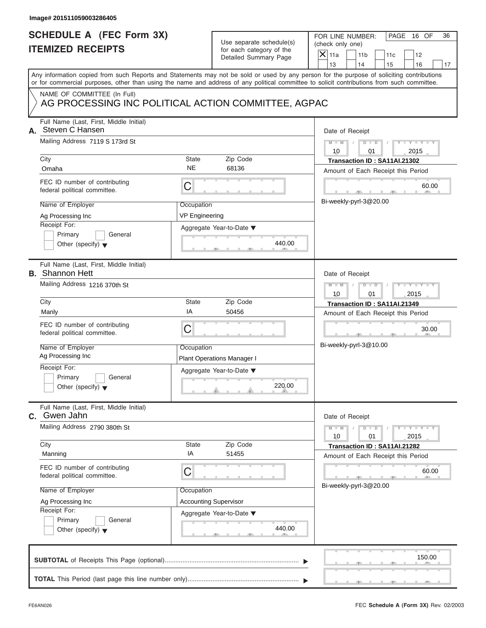| Image# 201511059003286405                                                                                                                                                                                                                                                                                   |                                                                                                                                |                                                                                                                                                                                           |
|-------------------------------------------------------------------------------------------------------------------------------------------------------------------------------------------------------------------------------------------------------------------------------------------------------------|--------------------------------------------------------------------------------------------------------------------------------|-------------------------------------------------------------------------------------------------------------------------------------------------------------------------------------------|
| <b>SCHEDULE A (FEC Form 3X)</b><br><b>ITEMIZED RECEIPTS</b>                                                                                                                                                                                                                                                 | Use separate schedule(s)<br>for each category of the<br>Detailed Summary Page                                                  | FOR LINE NUMBER:<br>PAGE 16 OF<br>36<br>(check only one)<br>$\overline{X}$ 11a<br>11 <sub>b</sub><br>11c<br>12<br>13<br>14<br>15<br>16<br>17                                              |
| Any information copied from such Reports and Statements may not be sold or used by any person for the purpose of soliciting contributions<br>or for commercial purposes, other than using the name and address of any political committee to solicit contributions from such committee.                     |                                                                                                                                |                                                                                                                                                                                           |
| NAME OF COMMITTEE (In Full)                                                                                                                                                                                                                                                                                 | AG PROCESSING INC POLITICAL ACTION COMMITTEE, AGPAC                                                                            |                                                                                                                                                                                           |
| Full Name (Last, First, Middle Initial)<br>A. Steven C Hansen<br>Mailing Address 7119 S 173rd St<br>City<br>Omaha<br>FEC ID number of contributing<br>federal political committee.<br>Name of Employer                                                                                                      | State<br>Zip Code<br><b>NE</b><br>68136<br>C<br>Occupation                                                                     | Date of Receipt<br>$M - M$<br>$D$ $D$<br>Y TYT<br>10<br>2015<br>01<br>Transaction ID: SA11AI.21302<br>Amount of Each Receipt this Period<br>60.00<br>Bi-weekly-pyrl-3@20.00               |
| Ag Processing Inc<br>Receipt For:<br>Primary<br>General<br>Other (specify) $\blacktriangledown$                                                                                                                                                                                                             | <b>VP Engineering</b><br>Aggregate Year-to-Date ▼<br>440.00                                                                    |                                                                                                                                                                                           |
| Full Name (Last, First, Middle Initial)<br><b>B.</b> Shannon Hett<br>Mailing Address 1216 370th St<br>City<br>Manly<br>FEC ID number of contributing<br>federal political committee.<br>Name of Employer<br>Ag Processing Inc<br>Receipt For:<br>Primary<br>General<br>Other (specify) $\blacktriangledown$ | State<br>Zip Code<br>ΙA<br>50456<br>C<br>Occupation<br><b>Plant Operations Manager I</b><br>Aggregate Year-to-Date ▼<br>220.00 | Date of Receipt<br>$M - M$<br>$D$ $D$<br>$Y - Y - I$<br>10<br>01<br>2015<br>Transaction ID: SA11AI.21349<br>Amount of Each Receipt this Period<br>30.00<br>$-9$<br>Bi-weekly-pyrl-3@10.00 |
| Full Name (Last, First, Middle Initial)<br>C. Gwen Jahn<br>Mailing Address 2790 380th St<br>City<br>Manning<br>FEC ID number of contributing<br>federal political committee.<br>Name of Employer<br>Ag Processing Inc<br>Receipt For:<br>Primary<br>General<br>Other (specify) $\blacktriangledown$         | Zip Code<br>State<br>IA<br>51455<br>С<br>Occupation<br><b>Accounting Supervisor</b><br>Aggregate Year-to-Date ▼<br>440.00      | Date of Receipt<br>$M - M$<br>$Y - Y$<br>$D - D$<br>2015<br>10<br>01<br>Transaction ID: SA11AI.21282<br>Amount of Each Receipt this Period<br>60.00<br>Bi-weekly-pyrl-3@20.00             |
|                                                                                                                                                                                                                                                                                                             |                                                                                                                                | 150.00                                                                                                                                                                                    |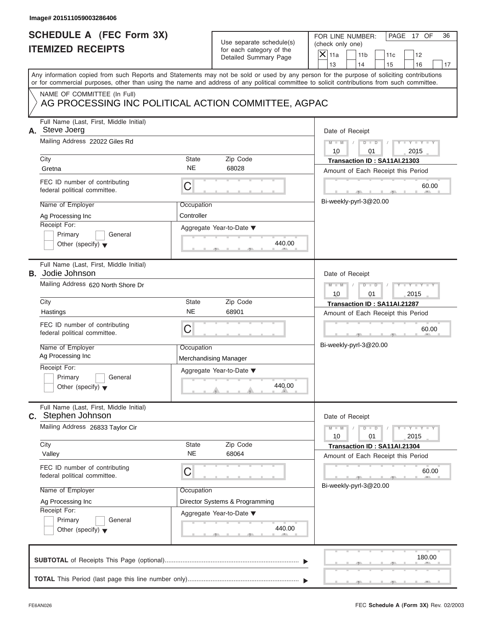| <b>SCHEDULE A (FEC Form 3X)</b><br>FOR LINE NUMBER:<br>PAGE 17 OF<br>36<br>Use separate schedule(s)<br>(check only one)<br><b>ITEMIZED RECEIPTS</b><br>for each category of the<br>$\overline{X}$ 11a<br>11 <sub>b</sub><br>11c<br>12<br>Detailed Summary Page<br>13<br>14<br>15<br>16<br>17<br>Any information copied from such Reports and Statements may not be sold or used by any person for the purpose of soliciting contributions<br>or for commercial purposes, other than using the name and address of any political committee to solicit contributions from such committee.<br>NAME OF COMMITTEE (In Full)<br>AG PROCESSING INC POLITICAL ACTION COMMITTEE, AGPAC<br>Full Name (Last, First, Middle Initial)<br>Date of Receipt<br>Mailing Address 22022 Giles Rd<br>$M - M$<br>$D$ $D$<br>Y TYT<br>10<br>2015<br>01<br>City<br>State<br>Zip Code<br>Transaction ID: SA11AI.21303<br><b>NE</b><br>68028<br>Gretna<br>Amount of Each Receipt this Period<br>FEC ID number of contributing<br>C<br>60.00<br>federal political committee.<br>Bi-weekly-pyrl-3@20.00<br>Name of Employer<br>Occupation<br>Controller<br>Ag Processing Inc<br>Receipt For:<br>Aggregate Year-to-Date ▼<br>Primary<br>General<br>440.00<br>Other (specify) $\blacktriangledown$<br>Full Name (Last, First, Middle Initial)<br>Date of Receipt<br>Mailing Address 620 North Shore Dr<br>$M - M$<br>$D$ $\Box$ $D$<br>Y TY<br>10<br>01<br>2015<br>State<br>Zip Code<br>City<br>Transaction ID: SA11AI.21287<br><b>NE</b><br>68901<br>Hastings<br>Amount of Each Receipt this Period<br>FEC ID number of contributing<br>C<br>60.00<br>federal political committee.<br>$-7$<br>Bi-weekly-pyrl-3@20.00<br>Name of Employer<br>Occupation<br>Ag Processing Inc<br>Merchandising Manager<br>Receipt For:<br>Aggregate Year-to-Date ▼<br>Primary<br>General<br>440.00<br>Other (specify) $\blacktriangledown$<br>Full Name (Last, First, Middle Initial)<br>Date of Receipt<br>Mailing Address 26833 Taylor Cir<br>$Y - Y$<br>$M - M$<br>$D - D$<br>2015<br>10<br>01<br>Zip Code<br>City<br>State<br>Transaction ID: SA11AI.21304<br><b>NE</b><br>68064<br>Valley<br>Amount of Each Receipt this Period<br>FEC ID number of contributing<br>С<br>60.00<br>federal political committee.<br>Bi-weekly-pyrl-3@20.00<br>Name of Employer<br>Occupation<br>Director Systems & Programming<br>Ag Processing Inc<br>Receipt For:<br>Aggregate Year-to-Date ▼<br>Primary<br>General<br>440.00<br>Other (specify) $\blacktriangledown$<br>180.00 | Image# 201511059003286406 |  |  |
|------------------------------------------------------------------------------------------------------------------------------------------------------------------------------------------------------------------------------------------------------------------------------------------------------------------------------------------------------------------------------------------------------------------------------------------------------------------------------------------------------------------------------------------------------------------------------------------------------------------------------------------------------------------------------------------------------------------------------------------------------------------------------------------------------------------------------------------------------------------------------------------------------------------------------------------------------------------------------------------------------------------------------------------------------------------------------------------------------------------------------------------------------------------------------------------------------------------------------------------------------------------------------------------------------------------------------------------------------------------------------------------------------------------------------------------------------------------------------------------------------------------------------------------------------------------------------------------------------------------------------------------------------------------------------------------------------------------------------------------------------------------------------------------------------------------------------------------------------------------------------------------------------------------------------------------------------------------------------------------------------------------------------------------------------------------------------------------------------------------------------------------------------------------------------------------------------------------------------------------------------------------------------------------------------------------------------------------------------------------------------------------------------------------------------------------------------------------------------------------------------------------------|---------------------------|--|--|
|                                                                                                                                                                                                                                                                                                                                                                                                                                                                                                                                                                                                                                                                                                                                                                                                                                                                                                                                                                                                                                                                                                                                                                                                                                                                                                                                                                                                                                                                                                                                                                                                                                                                                                                                                                                                                                                                                                                                                                                                                                                                                                                                                                                                                                                                                                                                                                                                                                                                                                                        |                           |  |  |
|                                                                                                                                                                                                                                                                                                                                                                                                                                                                                                                                                                                                                                                                                                                                                                                                                                                                                                                                                                                                                                                                                                                                                                                                                                                                                                                                                                                                                                                                                                                                                                                                                                                                                                                                                                                                                                                                                                                                                                                                                                                                                                                                                                                                                                                                                                                                                                                                                                                                                                                        |                           |  |  |
| A. Steve Joerg<br><b>B.</b> Jodie Johnson                                                                                                                                                                                                                                                                                                                                                                                                                                                                                                                                                                                                                                                                                                                                                                                                                                                                                                                                                                                                                                                                                                                                                                                                                                                                                                                                                                                                                                                                                                                                                                                                                                                                                                                                                                                                                                                                                                                                                                                                                                                                                                                                                                                                                                                                                                                                                                                                                                                                              |                           |  |  |
|                                                                                                                                                                                                                                                                                                                                                                                                                                                                                                                                                                                                                                                                                                                                                                                                                                                                                                                                                                                                                                                                                                                                                                                                                                                                                                                                                                                                                                                                                                                                                                                                                                                                                                                                                                                                                                                                                                                                                                                                                                                                                                                                                                                                                                                                                                                                                                                                                                                                                                                        |                           |  |  |
| C. Stephen Johnson                                                                                                                                                                                                                                                                                                                                                                                                                                                                                                                                                                                                                                                                                                                                                                                                                                                                                                                                                                                                                                                                                                                                                                                                                                                                                                                                                                                                                                                                                                                                                                                                                                                                                                                                                                                                                                                                                                                                                                                                                                                                                                                                                                                                                                                                                                                                                                                                                                                                                                     |                           |  |  |
|                                                                                                                                                                                                                                                                                                                                                                                                                                                                                                                                                                                                                                                                                                                                                                                                                                                                                                                                                                                                                                                                                                                                                                                                                                                                                                                                                                                                                                                                                                                                                                                                                                                                                                                                                                                                                                                                                                                                                                                                                                                                                                                                                                                                                                                                                                                                                                                                                                                                                                                        |                           |  |  |
|                                                                                                                                                                                                                                                                                                                                                                                                                                                                                                                                                                                                                                                                                                                                                                                                                                                                                                                                                                                                                                                                                                                                                                                                                                                                                                                                                                                                                                                                                                                                                                                                                                                                                                                                                                                                                                                                                                                                                                                                                                                                                                                                                                                                                                                                                                                                                                                                                                                                                                                        |                           |  |  |
|                                                                                                                                                                                                                                                                                                                                                                                                                                                                                                                                                                                                                                                                                                                                                                                                                                                                                                                                                                                                                                                                                                                                                                                                                                                                                                                                                                                                                                                                                                                                                                                                                                                                                                                                                                                                                                                                                                                                                                                                                                                                                                                                                                                                                                                                                                                                                                                                                                                                                                                        |                           |  |  |

 $S = 1 - 1 - 2$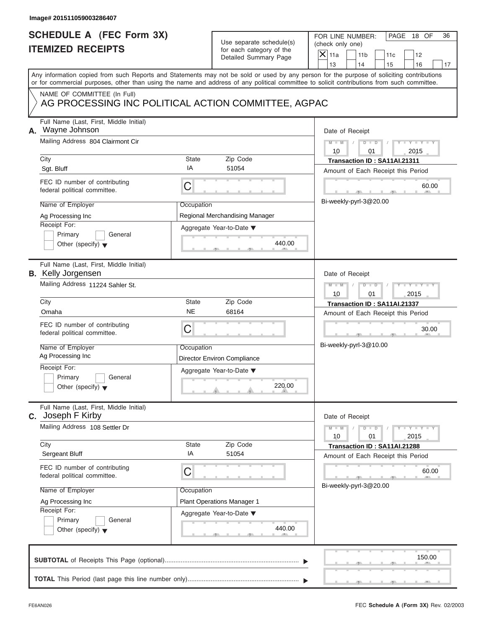| Image# 201511059003286407                                                                                                                                                                                                                                                                                         |                                                                                                                                 |                                                                                                                                                                                           |
|-------------------------------------------------------------------------------------------------------------------------------------------------------------------------------------------------------------------------------------------------------------------------------------------------------------------|---------------------------------------------------------------------------------------------------------------------------------|-------------------------------------------------------------------------------------------------------------------------------------------------------------------------------------------|
| <b>SCHEDULE A (FEC Form 3X)</b><br><b>ITEMIZED RECEIPTS</b>                                                                                                                                                                                                                                                       | Use separate schedule(s)<br>for each category of the<br>Detailed Summary Page                                                   | FOR LINE NUMBER:<br>PAGE 18 OF<br>36<br>(check only one)<br>$\overline{X}$ 11a<br>11 <sub>b</sub><br>11c<br>12<br>13<br>14<br>15<br>16<br>17                                              |
| Any information copied from such Reports and Statements may not be sold or used by any person for the purpose of soliciting contributions<br>or for commercial purposes, other than using the name and address of any political committee to solicit contributions from such committee.                           |                                                                                                                                 |                                                                                                                                                                                           |
| NAME OF COMMITTEE (In Full)                                                                                                                                                                                                                                                                                       | AG PROCESSING INC POLITICAL ACTION COMMITTEE, AGPAC                                                                             |                                                                                                                                                                                           |
| Full Name (Last, First, Middle Initial)<br>A. Wayne Johnson<br>Mailing Address 804 Clairmont Cir<br>City<br>Sgt. Bluff                                                                                                                                                                                            | State<br>Zip Code<br>IA<br>51054                                                                                                | Date of Receipt<br>$M - M$<br>$D$ $D$<br>Y TYT<br>10<br>2015<br>01<br>Transaction ID: SA11AI.21311<br>Amount of Each Receipt this Period                                                  |
| FEC ID number of contributing<br>federal political committee.<br>Name of Employer<br>Ag Processing Inc<br>Receipt For:<br>Primary<br>General<br>Other (specify) $\blacktriangledown$                                                                                                                              | C<br>Occupation<br>Regional Merchandising Manager<br>Aggregate Year-to-Date ▼<br>440.00                                         | 60.00<br>Bi-weekly-pyrl-3@20.00                                                                                                                                                           |
| Full Name (Last, First, Middle Initial)<br><b>B.</b> Kelly Jorgensen<br>Mailing Address 11224 Sahler St.<br>City<br>Omaha<br>FEC ID number of contributing<br>federal political committee.<br>Name of Employer<br>Ag Processing Inc<br>Receipt For:<br>Primary<br>General<br>Other (specify) $\blacktriangledown$ | State<br>Zip Code<br><b>NE</b><br>68164<br>C<br>Occupation<br>Director Environ Compliance<br>Aggregate Year-to-Date ▼<br>220.00 | Date of Receipt<br>$M - M$<br>$D$ $D$<br>$Y - Y - I$<br>10<br>01<br>2015<br>Transaction ID: SA11AI.21337<br>Amount of Each Receipt this Period<br>30.00<br>$-7$<br>Bi-weekly-pyrl-3@10.00 |
| Full Name (Last, First, Middle Initial)<br>C. Joseph F Kirby<br>Mailing Address 108 Settler Dr<br>City<br>Sergeant Bluff<br>FEC ID number of contributing<br>federal political committee.<br>Name of Employer<br>Ag Processing Inc<br>Receipt For:<br>Primary<br>General<br>Other (specify) $\blacktriangledown$  | Zip Code<br>State<br>IA<br>51054<br>С<br>Occupation<br>Plant Operations Manager 1<br>Aggregate Year-to-Date ▼<br>440.00         | Date of Receipt<br>$Y - Y$<br>$M - M$<br>$D - D$<br>2015<br>10<br>01<br>Transaction ID: SA11AI.21288<br>Amount of Each Receipt this Period<br>60.00<br>Bi-weekly-pyrl-3@20.00             |
|                                                                                                                                                                                                                                                                                                                   |                                                                                                                                 | 150.00                                                                                                                                                                                    |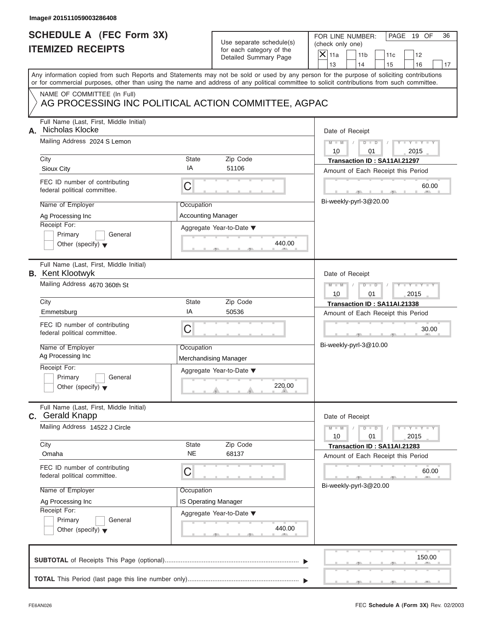|    | Image# 201511059003286408                                                                                                                  |                                         |                                                                               |                                                                                                                                                             |
|----|--------------------------------------------------------------------------------------------------------------------------------------------|-----------------------------------------|-------------------------------------------------------------------------------|-------------------------------------------------------------------------------------------------------------------------------------------------------------|
|    | <b>SCHEDULE A (FEC Form 3X)</b><br><b>ITEMIZED RECEIPTS</b>                                                                                |                                         | Use separate schedule(s)<br>for each category of the<br>Detailed Summary Page | FOR LINE NUMBER:<br>PAGE 19 OF<br>36<br>(check only one)<br>$\overline{X}$ 11a<br>11 <sub>b</sub><br>11c<br>12<br>13<br>14                                  |
|    | or for commercial purposes, other than using the name and address of any political committee to solicit contributions from such committee. |                                         |                                                                               | 15<br>16<br>17<br>Any information copied from such Reports and Statements may not be sold or used by any person for the purpose of soliciting contributions |
|    | NAME OF COMMITTEE (In Full)<br>AG PROCESSING INC POLITICAL ACTION COMMITTEE, AGPAC                                                         |                                         |                                                                               |                                                                                                                                                             |
| А. | Full Name (Last, First, Middle Initial)<br>Nicholas Klocke<br>Mailing Address 2024 S Lemon<br>City                                         | State                                   | Zip Code                                                                      | Date of Receipt<br>$M - M$<br>$D$ $D$<br>Y TYT<br>10<br>2015<br>01<br>Transaction ID: SA11AI.21297                                                          |
|    | Sioux City                                                                                                                                 | IA                                      | 51106                                                                         | Amount of Each Receipt this Period                                                                                                                          |
|    | FEC ID number of contributing<br>federal political committee.                                                                              | C                                       |                                                                               | 60.00<br>Bi-weekly-pyrl-3@20.00                                                                                                                             |
|    | Name of Employer<br>Ag Processing Inc<br>Receipt For:<br>Primary<br>General                                                                | Occupation<br><b>Accounting Manager</b> | Aggregate Year-to-Date ▼                                                      |                                                                                                                                                             |
|    | Other (specify) $\blacktriangledown$<br>Full Name (Last, First, Middle Initial)                                                            |                                         | 440.00                                                                        |                                                                                                                                                             |
|    | <b>B.</b> Kent Klootwyk                                                                                                                    |                                         |                                                                               | Date of Receipt                                                                                                                                             |
|    | Mailing Address 4670 360th St                                                                                                              |                                         |                                                                               | $M - M$<br>$D$ $D$<br>Y TY<br>10<br>01<br>2015                                                                                                              |
|    | City                                                                                                                                       | State                                   | Zip Code                                                                      | Transaction ID: SA11AI.21338                                                                                                                                |
|    | Emmetsburg                                                                                                                                 | ΙA                                      | 50536                                                                         | Amount of Each Receipt this Period                                                                                                                          |
|    | FEC ID number of contributing<br>federal political committee.                                                                              | C                                       |                                                                               | 30.00<br>$-9$                                                                                                                                               |
|    | Name of Employer<br>Ag Processing Inc                                                                                                      | Occupation                              | Merchandising Manager                                                         | Bi-weekly-pyrl-3@10.00                                                                                                                                      |
|    | Receipt For:<br>Primary<br>General<br>Other (specify) $\blacktriangledown$                                                                 |                                         | Aggregate Year-to-Date ▼<br>220.00                                            |                                                                                                                                                             |
|    | Full Name (Last, First, Middle Initial)<br>C. Gerald Knapp                                                                                 |                                         |                                                                               | Date of Receipt                                                                                                                                             |
|    | Mailing Address 14522 J Circle                                                                                                             |                                         |                                                                               | $Y - Y$<br>$M - M$<br>$D - D$<br>2015<br>10<br>01                                                                                                           |
|    | City<br>Omaha                                                                                                                              | State<br><b>NE</b>                      | Zip Code<br>68137                                                             | Transaction ID: SA11AI.21283<br>Amount of Each Receipt this Period                                                                                          |
|    | FEC ID number of contributing<br>federal political committee.                                                                              | С                                       |                                                                               | 60.00<br>Bi-weekly-pyrl-3@20.00                                                                                                                             |
|    | Name of Employer                                                                                                                           | Occupation                              |                                                                               |                                                                                                                                                             |
|    | Ag Processing Inc                                                                                                                          | IS Operating Manager                    |                                                                               |                                                                                                                                                             |
|    | Receipt For:                                                                                                                               |                                         | Aggregate Year-to-Date ▼                                                      |                                                                                                                                                             |
|    | Primary<br>General<br>Other (specify) $\blacktriangledown$                                                                                 |                                         | 440.00                                                                        |                                                                                                                                                             |
|    |                                                                                                                                            |                                         |                                                                               | 150.00                                                                                                                                                      |
|    |                                                                                                                                            |                                         |                                                                               |                                                                                                                                                             |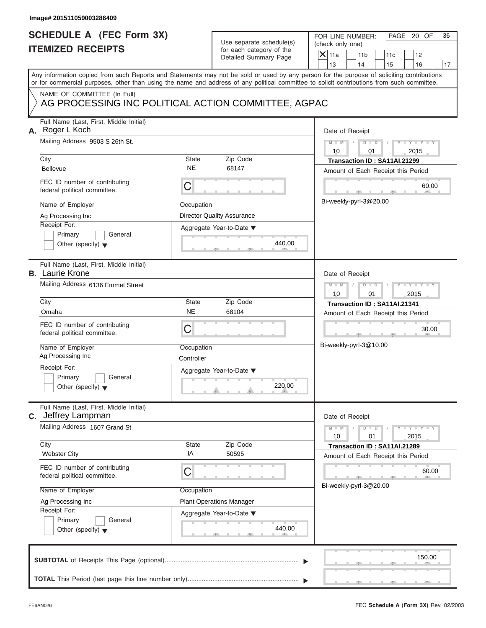| Image# 201511059003286409                                                                                                                                                                                                                                                                                                    |                                                     |                                                                                            |                                                                                                                                                                                                 |
|------------------------------------------------------------------------------------------------------------------------------------------------------------------------------------------------------------------------------------------------------------------------------------------------------------------------------|-----------------------------------------------------|--------------------------------------------------------------------------------------------|-------------------------------------------------------------------------------------------------------------------------------------------------------------------------------------------------|
| <b>SCHEDULE A (FEC Form 3X)</b><br><b>ITEMIZED RECEIPTS</b>                                                                                                                                                                                                                                                                  |                                                     | Use separate schedule(s)<br>for each category of the<br>Detailed Summary Page              | FOR LINE NUMBER:<br>PAGE 20 OF<br>36<br>(check only one)<br>$\overline{X}$ 11a<br>11 <sub>b</sub><br>11c<br>12<br>13<br>14<br>16<br>15<br>17                                                    |
| or for commercial purposes, other than using the name and address of any political committee to solicit contributions from such committee.                                                                                                                                                                                   |                                                     |                                                                                            | Any information copied from such Reports and Statements may not be sold or used by any person for the purpose of soliciting contributions                                                       |
| NAME OF COMMITTEE (In Full)<br>AG PROCESSING INC POLITICAL ACTION COMMITTEE, AGPAC                                                                                                                                                                                                                                           |                                                     |                                                                                            |                                                                                                                                                                                                 |
| Full Name (Last, First, Middle Initial)<br>A. Roger L Koch<br>Mailing Address 9503 S 26th St.<br>City<br><b>Bellevue</b><br>FEC ID number of contributing<br>federal political committee.<br>Name of Employer<br>Ag Processing Inc                                                                                           | State<br><b>NE</b><br>С<br>Occupation               | Zip Code<br>68147<br><b>Director Quality Assurance</b>                                     | Date of Receipt<br>$M - M$<br>$D$ $D$<br>$Y - Y - Y - Y$<br>10<br>2015<br>01<br>Transaction ID: SA11AI.21299<br>Amount of Each Receipt this Period<br>60.00<br>Bi-weekly-pyrl-3@20.00           |
| Receipt For:<br>Primary<br>General<br>Other (specify) $\blacktriangledown$                                                                                                                                                                                                                                                   |                                                     | Aggregate Year-to-Date ▼<br>440.00                                                         |                                                                                                                                                                                                 |
| Full Name (Last, First, Middle Initial)<br><b>B.</b> Laurie Krone<br>Mailing Address 6136 Emmet Street<br>City<br>Omaha<br>FEC ID number of contributing<br>federal political committee.<br>Name of Employer<br>Ag Processing Inc<br>Receipt For:<br>Primary<br>General<br>Other (specify) $\blacktriangledown$              | State<br><b>NE</b><br>С<br>Occupation<br>Controller | Zip Code<br>68104<br>Aggregate Year-to-Date ▼<br>220.00                                    | Date of Receipt<br>$D - D$<br>$M - M$<br>10<br>01<br>2015<br>Transaction ID: SA11AI.21341<br>Amount of Each Receipt this Period<br>30.00<br>$\mathbf{1}$ $\mathbf{1}$<br>Bi-weekly-pyrl-3@10.00 |
| Full Name (Last, First, Middle Initial)<br><b>C.</b> Jeffrey Lampman<br>Mailing Address 1607 Grand St<br>City<br><b>Webster City</b><br>FEC ID number of contributing<br>federal political committee.<br>Name of Employer<br>Ag Processing Inc<br>Receipt For:<br>Primary<br>General<br>Other (specify) $\blacktriangledown$ | State<br>IA<br>С<br>Occupation                      | Zip Code<br>50595<br><b>Plant Operations Manager</b><br>Aggregate Year-to-Date ▼<br>440.00 | Date of Receipt<br>$M - M$<br>$Y - Y -$<br>$D - D$<br>2015<br>10<br>01<br>Transaction ID: SA11AI.21289<br>Amount of Each Receipt this Period<br>60.00<br>Bi-weekly-pyrl-3@20.00                 |
|                                                                                                                                                                                                                                                                                                                              |                                                     |                                                                                            | 150.00                                                                                                                                                                                          |
|                                                                                                                                                                                                                                                                                                                              |                                                     |                                                                                            |                                                                                                                                                                                                 |

S S S , , .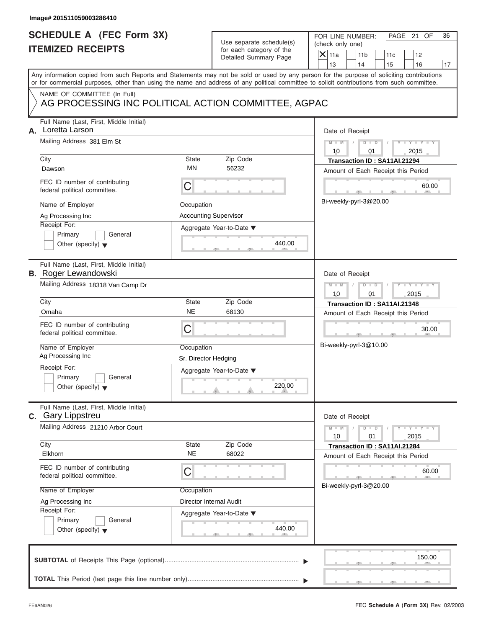|    | Image# 201511059003286410                                              |                      |                                                      |                                                                                                                                                                                                                                                                                         |
|----|------------------------------------------------------------------------|----------------------|------------------------------------------------------|-----------------------------------------------------------------------------------------------------------------------------------------------------------------------------------------------------------------------------------------------------------------------------------------|
|    | <b>SCHEDULE A (FEC Form 3X)</b><br><b>ITEMIZED RECEIPTS</b>            |                      | Use separate schedule(s)<br>for each category of the | FOR LINE NUMBER:<br>PAGE 21 OF<br>36<br>(check only one)<br>$X$ 11a<br>11 <sub>b</sub><br>11c<br>12                                                                                                                                                                                     |
|    |                                                                        |                      | Detailed Summary Page                                | 13<br>14<br>15<br>16<br>17                                                                                                                                                                                                                                                              |
|    |                                                                        |                      |                                                      | Any information copied from such Reports and Statements may not be sold or used by any person for the purpose of soliciting contributions<br>or for commercial purposes, other than using the name and address of any political committee to solicit contributions from such committee. |
|    | NAME OF COMMITTEE (In Full)                                            |                      |                                                      |                                                                                                                                                                                                                                                                                         |
|    | AG PROCESSING INC POLITICAL ACTION COMMITTEE, AGPAC                    |                      |                                                      |                                                                                                                                                                                                                                                                                         |
| А. | Full Name (Last, First, Middle Initial)<br>Loretta Larson              |                      |                                                      | Date of Receipt                                                                                                                                                                                                                                                                         |
|    | Mailing Address 381 Elm St                                             |                      |                                                      | $D$ $D$<br>$Y = Y =$<br>$M - M$<br>10<br>2015<br>01                                                                                                                                                                                                                                     |
|    | City                                                                   | <b>State</b>         | Zip Code                                             | Transaction ID: SA11AI.21294                                                                                                                                                                                                                                                            |
|    | Dawson                                                                 | MN                   | 56232                                                | Amount of Each Receipt this Period                                                                                                                                                                                                                                                      |
|    | FEC ID number of contributing<br>federal political committee.          | C                    |                                                      | 60.00                                                                                                                                                                                                                                                                                   |
|    | Name of Employer                                                       | Occupation           |                                                      | Bi-weekly-pyrl-3@20.00                                                                                                                                                                                                                                                                  |
|    | Ag Processing Inc                                                      |                      | <b>Accounting Supervisor</b>                         |                                                                                                                                                                                                                                                                                         |
|    | Receipt For:                                                           |                      | Aggregate Year-to-Date ▼                             |                                                                                                                                                                                                                                                                                         |
|    | Primary<br>General                                                     |                      |                                                      |                                                                                                                                                                                                                                                                                         |
|    | Other (specify) $\blacktriangledown$                                   |                      | 440.00                                               |                                                                                                                                                                                                                                                                                         |
|    | Full Name (Last, First, Middle Initial)<br><b>B.</b> Roger Lewandowski |                      |                                                      | Date of Receipt                                                                                                                                                                                                                                                                         |
|    | Mailing Address 18318 Van Camp Dr                                      |                      |                                                      | $M - M$<br>$D$ $D$                                                                                                                                                                                                                                                                      |
|    | City                                                                   | <b>State</b>         | Zip Code                                             | 2015<br>10<br>01                                                                                                                                                                                                                                                                        |
|    | Omaha                                                                  | <b>NE</b>            | 68130                                                | Transaction ID: SA11AI.21348<br>Amount of Each Receipt this Period                                                                                                                                                                                                                      |
|    | FEC ID number of contributing                                          |                      |                                                      |                                                                                                                                                                                                                                                                                         |
|    | federal political committee.                                           | C                    |                                                      | 30.00<br>$-9$                                                                                                                                                                                                                                                                           |
|    | Name of Employer                                                       | Occupation           |                                                      | Bi-weekly-pyrl-3@10.00                                                                                                                                                                                                                                                                  |
|    | Ag Processing Inc                                                      | Sr. Director Hedging |                                                      |                                                                                                                                                                                                                                                                                         |
|    | Receipt For:                                                           |                      | Aggregate Year-to-Date ▼                             |                                                                                                                                                                                                                                                                                         |
|    | Primary<br>General<br>Other (specify) $\blacktriangledown$             |                      | 220.00                                               |                                                                                                                                                                                                                                                                                         |
|    | Full Name (Last, First, Middle Initial)<br><b>C.</b> Gary Lippstreu    |                      |                                                      | Date of Receipt                                                                                                                                                                                                                                                                         |
|    | Mailing Address 21210 Arbor Court                                      |                      |                                                      | $\mathbf{I}$ $\mathbf{Y}$ $\mathbf{I}$ $\mathbf{Y}$ $\mathbf{I}$<br>$M - M$<br>$D$ $D$<br>2015<br>10<br>01                                                                                                                                                                              |
|    | City<br>Elkhorn                                                        | State<br>NE          | Zip Code<br>68022                                    | Transaction ID: SA11AI.21284<br>Amount of Each Receipt this Period                                                                                                                                                                                                                      |
|    | FEC ID number of contributing<br>federal political committee.          | C                    |                                                      | 60.00                                                                                                                                                                                                                                                                                   |
|    | Name of Employer                                                       | Occupation           |                                                      | Bi-weekly-pyrl-3@20.00                                                                                                                                                                                                                                                                  |
|    | Ag Processing Inc                                                      |                      | Director Internal Audit                              |                                                                                                                                                                                                                                                                                         |
|    | Receipt For:                                                           |                      | Aggregate Year-to-Date ▼                             |                                                                                                                                                                                                                                                                                         |
|    | Primary<br>General                                                     |                      | 440.00                                               |                                                                                                                                                                                                                                                                                         |
|    | Other (specify) $\blacktriangledown$                                   |                      |                                                      |                                                                                                                                                                                                                                                                                         |
|    |                                                                        |                      |                                                      | 150.00                                                                                                                                                                                                                                                                                  |
|    |                                                                        |                      |                                                      |                                                                                                                                                                                                                                                                                         |
|    |                                                                        |                      |                                                      |                                                                                                                                                                                                                                                                                         |

S S S , , .

a.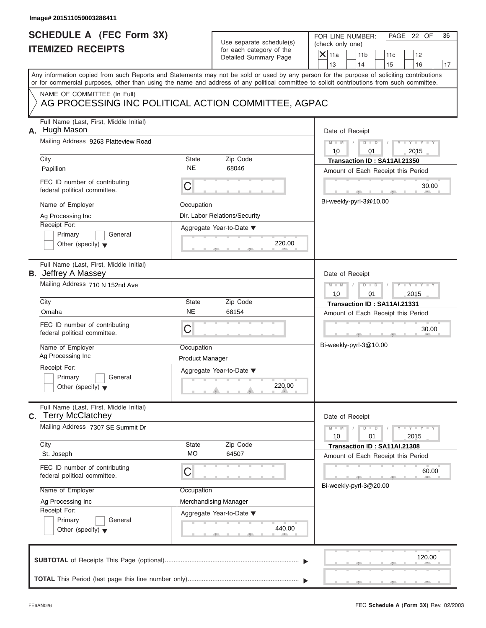| Image# 201511059003286411                                                                                                                                                                                                                                                                                                                                    |                                                                                                                            |                                                                                                                                                                                        |
|--------------------------------------------------------------------------------------------------------------------------------------------------------------------------------------------------------------------------------------------------------------------------------------------------------------------------------------------------------------|----------------------------------------------------------------------------------------------------------------------------|----------------------------------------------------------------------------------------------------------------------------------------------------------------------------------------|
| <b>SCHEDULE A (FEC Form 3X)</b><br><b>ITEMIZED RECEIPTS</b>                                                                                                                                                                                                                                                                                                  | Use separate schedule(s)<br>for each category of the<br>Detailed Summary Page                                              | FOR LINE NUMBER:<br>PAGE 22 OF<br>36<br>(check only one)<br>$\overline{X}$ 11a<br>11 <sub>b</sub><br>11c<br>12<br>13<br>14<br>15<br>16<br>17                                           |
| Any information copied from such Reports and Statements may not be sold or used by any person for the purpose of soliciting contributions<br>or for commercial purposes, other than using the name and address of any political committee to solicit contributions from such committee.                                                                      |                                                                                                                            |                                                                                                                                                                                        |
| NAME OF COMMITTEE (In Full)                                                                                                                                                                                                                                                                                                                                  | AG PROCESSING INC POLITICAL ACTION COMMITTEE, AGPAC                                                                        |                                                                                                                                                                                        |
| Full Name (Last, First, Middle Initial)<br>A. Hugh Mason<br>Mailing Address 9263 Platteview Road<br>City<br>Papillion<br>FEC ID number of contributing<br>federal political committee.<br>Name of Employer<br>Ag Processing Inc                                                                                                                              | State<br>Zip Code<br><b>NE</b><br>68046<br>C<br>Occupation<br>Dir. Labor Relations/Security                                | Date of Receipt<br>$M - M$<br>$D$ $D$<br>Y TYT<br>10<br>2015<br>01<br>Transaction ID: SA11AI.21350<br>Amount of Each Receipt this Period<br>30.00<br>Bi-weekly-pyrl-3@10.00            |
| Receipt For:<br>Primary<br>General<br>Other (specify) $\blacktriangledown$                                                                                                                                                                                                                                                                                   | Aggregate Year-to-Date ▼<br>220.00                                                                                         |                                                                                                                                                                                        |
| Full Name (Last, First, Middle Initial)<br><b>B.</b> Jeffrey A Massey<br>Mailing Address 710 N 152nd Ave<br>City<br>Omaha<br>FEC ID number of contributing<br>federal political committee.<br>Name of Employer<br>Ag Processing Inc<br>Receipt For:<br>Primary<br>General<br>Other (specify) $\blacktriangledown$<br>Full Name (Last, First, Middle Initial) | State<br>Zip Code<br><b>NE</b><br>68154<br>C<br>Occupation<br><b>Product Manager</b><br>Aggregate Year-to-Date ▼<br>220.00 | Date of Receipt<br>$D - I - D$<br>$M - M$<br>Y TY<br>10<br>01<br>2015<br>Transaction ID: SA11AI.21331<br>Amount of Each Receipt this Period<br>30.00<br>$-9$<br>Bi-weekly-pyrl-3@10.00 |
| <b>C.</b> Terry McClatchey<br>Mailing Address 7307 SE Summit Dr<br>City<br>St. Joseph<br>FEC ID number of contributing<br>federal political committee.<br>Name of Employer<br>Ag Processing Inc<br>Receipt For:<br>Primary<br>General<br>Other (specify) $\blacktriangledown$                                                                                | Zip Code<br>State<br>MO<br>64507<br>С<br>Occupation<br>Merchandising Manager<br>Aggregate Year-to-Date ▼<br>440.00         | Date of Receipt<br>$Y - Y$<br>$M - M$<br>$D - D$<br>2015<br>10<br>01<br>Transaction ID: SA11AI.21308<br>Amount of Each Receipt this Period<br>60.00<br>Bi-weekly-pyrl-3@20.00          |
|                                                                                                                                                                                                                                                                                                                                                              |                                                                                                                            | 120.00                                                                                                                                                                                 |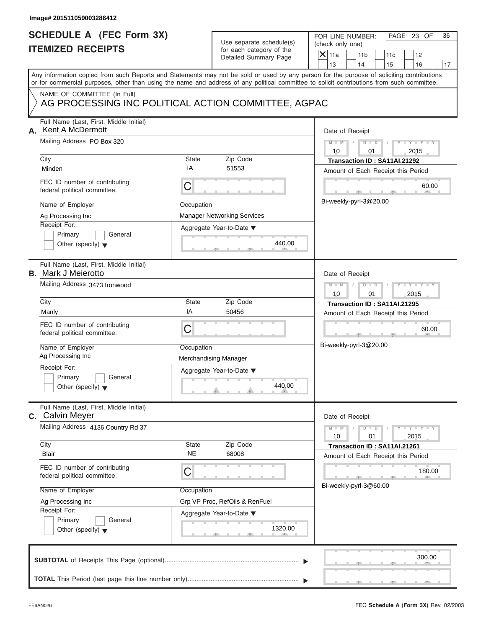|    | Image# 201511059003286412                                                                                                                                                            |                       |                                                                               |                                                                                                                                              |
|----|--------------------------------------------------------------------------------------------------------------------------------------------------------------------------------------|-----------------------|-------------------------------------------------------------------------------|----------------------------------------------------------------------------------------------------------------------------------------------|
|    | <b>SCHEDULE A (FEC Form 3X)</b><br><b>ITEMIZED RECEIPTS</b>                                                                                                                          |                       | Use separate schedule(s)<br>for each category of the<br>Detailed Summary Page | FOR LINE NUMBER:<br>PAGE 23 OF<br>36<br>(check only one)<br>$\overline{X}$ 11a<br>11 <sub>b</sub><br>11c<br>12<br>13<br>14<br>15<br>16<br>17 |
|    | or for commercial purposes, other than using the name and address of any political committee to solicit contributions from such committee.                                           |                       |                                                                               | Any information copied from such Reports and Statements may not be sold or used by any person for the purpose of soliciting contributions    |
|    | NAME OF COMMITTEE (In Full)<br>AG PROCESSING INC POLITICAL ACTION COMMITTEE, AGPAC                                                                                                   |                       |                                                                               |                                                                                                                                              |
| А. | Full Name (Last, First, Middle Initial)<br><b>Kent A McDermott</b><br>Mailing Address PO Box 320<br>City                                                                             | State                 | Zip Code                                                                      | Date of Receipt<br>$M - M$<br>$D$ $D$<br>Y TYT<br>10<br>2015<br>01<br>Transaction ID: SA11AI.21292                                           |
|    | Minden<br>FEC ID number of contributing<br>federal political committee.                                                                                                              | IA<br>C               | 51553                                                                         | Amount of Each Receipt this Period<br>60.00<br>Bi-weekly-pyrl-3@20.00                                                                        |
|    | Name of Employer<br>Ag Processing Inc<br>Receipt For:<br>Primary<br>General<br>Other (specify) $\blacktriangledown$                                                                  | Occupation            | <b>Manager Networking Services</b><br>Aggregate Year-to-Date ▼<br>440.00      |                                                                                                                                              |
|    | Full Name (Last, First, Middle Initial)<br><b>B.</b> Mark J Meierotto<br>Mailing Address 3473 Ironwood<br>City                                                                       | State                 | Zip Code                                                                      | Date of Receipt<br>$M - M$<br>$D$ $D$<br>$Y - Y - I$<br>10<br>01<br>2015<br>Transaction ID: SA11AI.21295                                     |
|    | Manly<br>FEC ID number of contributing<br>federal political committee.<br>Name of Employer                                                                                           | ΙA<br>C<br>Occupation | 50456                                                                         | Amount of Each Receipt this Period<br>60.00<br>$-7$<br>Bi-weekly-pyrl-3@20.00                                                                |
|    | Ag Processing Inc<br>Receipt For:<br>Primary<br>General<br>Other (specify) $\blacktriangledown$                                                                                      |                       | Merchandising Manager<br>Aggregate Year-to-Date ▼<br>440.00                   |                                                                                                                                              |
|    | Full Name (Last, First, Middle Initial)<br>C. Calvin Meyer                                                                                                                           |                       |                                                                               | Date of Receipt                                                                                                                              |
|    | Mailing Address 4136 Country Rd 37<br>City<br>Blair                                                                                                                                  | State<br><b>NE</b>    | Zip Code<br>68008                                                             | $Y - Y$<br>$M - M$<br>$D - D$<br>2015<br>10<br>01<br>Transaction ID: SA11AI.21261<br>Amount of Each Receipt this Period                      |
|    | FEC ID number of contributing<br>federal political committee.<br>Name of Employer<br>Ag Processing Inc<br>Receipt For:<br>Primary<br>General<br>Other (specify) $\blacktriangledown$ | С<br>Occupation       | Grp VP Proc, RefOils & RenFuel<br>Aggregate Year-to-Date ▼<br>1320.00         | 180.00<br>Bi-weekly-pyrl-3@60.00                                                                                                             |
|    |                                                                                                                                                                                      |                       |                                                                               | 300.00                                                                                                                                       |
|    |                                                                                                                                                                                      |                       |                                                                               |                                                                                                                                              |

S S S , , .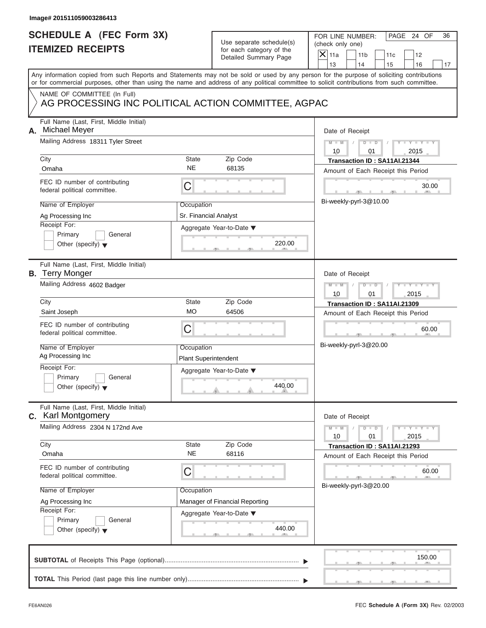|      | Image# 201511059003286413                                                                        |                                           |                                                                               |                                                                                                                                                                                                                                                                                         |
|------|--------------------------------------------------------------------------------------------------|-------------------------------------------|-------------------------------------------------------------------------------|-----------------------------------------------------------------------------------------------------------------------------------------------------------------------------------------------------------------------------------------------------------------------------------------|
|      | <b>SCHEDULE A (FEC Form 3X)</b><br><b>ITEMIZED RECEIPTS</b>                                      |                                           | Use separate schedule(s)<br>for each category of the<br>Detailed Summary Page | FOR LINE NUMBER:<br>PAGE 24 OF<br>36<br>(check only one)<br>$\mathsf{X}$ 11a<br>11 <sub>b</sub><br>11c<br>12<br>13<br>14<br>15<br>16<br>17                                                                                                                                              |
|      |                                                                                                  |                                           |                                                                               | Any information copied from such Reports and Statements may not be sold or used by any person for the purpose of soliciting contributions<br>or for commercial purposes, other than using the name and address of any political committee to solicit contributions from such committee. |
|      | NAME OF COMMITTEE (In Full)<br>AG PROCESSING INC POLITICAL ACTION COMMITTEE, AGPAC               |                                           |                                                                               |                                                                                                                                                                                                                                                                                         |
| А.   | Full Name (Last, First, Middle Initial)<br>Michael Meyer<br>Mailing Address 18311 Tyler Street   |                                           |                                                                               | Date of Receipt<br>$M - M$<br>$D$ $D$<br>$Y - Y - Y - Y$                                                                                                                                                                                                                                |
| City | Omaha                                                                                            | State<br><b>NE</b>                        | Zip Code<br>68135                                                             | 10<br>01<br>2015<br>Transaction ID: SA11AI.21344<br>Amount of Each Receipt this Period                                                                                                                                                                                                  |
|      | FEC ID number of contributing<br>federal political committee.                                    | C                                         |                                                                               | 30.00                                                                                                                                                                                                                                                                                   |
|      | Name of Employer<br>Ag Processing Inc<br>Receipt For:                                            | Occupation<br>Sr. Financial Analyst       |                                                                               | Bi-weekly-pyrl-3@10.00                                                                                                                                                                                                                                                                  |
|      | Primary<br>General<br>Other (specify) $\blacktriangledown$                                       |                                           | Aggregate Year-to-Date ▼<br>220.00                                            |                                                                                                                                                                                                                                                                                         |
|      | Full Name (Last, First, Middle Initial)<br><b>B.</b> Terry Monger<br>Mailing Address 4602 Badger |                                           |                                                                               | Date of Receipt<br>$M - M$<br>$D - I - D$<br>Y T Y T Y T                                                                                                                                                                                                                                |
| City | Saint Joseph                                                                                     | State<br><b>MO</b>                        | Zip Code<br>64506                                                             | 2015<br>10<br>01<br>Transaction ID: SA11AI.21309                                                                                                                                                                                                                                        |
|      | FEC ID number of contributing<br>federal political committee.                                    | C                                         |                                                                               | Amount of Each Receipt this Period<br>60.00<br>$-9$                                                                                                                                                                                                                                     |
|      | Name of Employer<br>Ag Processing Inc                                                            | Occupation<br><b>Plant Superintendent</b> |                                                                               | Bi-weekly-pyrl-3@20.00                                                                                                                                                                                                                                                                  |
|      | Receipt For:<br>Primary<br>General<br>Other (specify) $\blacktriangledown$                       |                                           | Aggregate Year-to-Date ▼<br>440.00                                            |                                                                                                                                                                                                                                                                                         |
|      | Full Name (Last, First, Middle Initial)<br><b>C.</b> Karl Montgomery                             |                                           |                                                                               | Date of Receipt                                                                                                                                                                                                                                                                         |
| City | Mailing Address 2304 N 172nd Ave                                                                 | State                                     | Zip Code                                                                      | $M - M$<br>$\mathbf{I} = \mathbf{Y} - \mathbf{I} - \mathbf{Y} - \mathbf{I}$<br>$D$ $D$<br>10<br>01<br>2015<br>Transaction ID: SA11AI.21293                                                                                                                                              |
|      | Omaha<br>FEC ID number of contributing                                                           | <b>NE</b><br>С                            | 68116                                                                         | Amount of Each Receipt this Period<br>60.00                                                                                                                                                                                                                                             |
|      | federal political committee.<br>Name of Employer                                                 | Occupation                                |                                                                               | Bi-weekly-pyrl-3@20.00                                                                                                                                                                                                                                                                  |
|      | Ag Processing Inc<br>Receipt For:<br>Primary<br>General<br>Other (specify) $\blacktriangledown$  |                                           | Manager of Financial Reporting<br>Aggregate Year-to-Date ▼<br>440.00          |                                                                                                                                                                                                                                                                                         |
|      |                                                                                                  |                                           |                                                                               | 150.00                                                                                                                                                                                                                                                                                  |
|      |                                                                                                  |                                           |                                                                               |                                                                                                                                                                                                                                                                                         |

 $S = 1 - 1 - 2$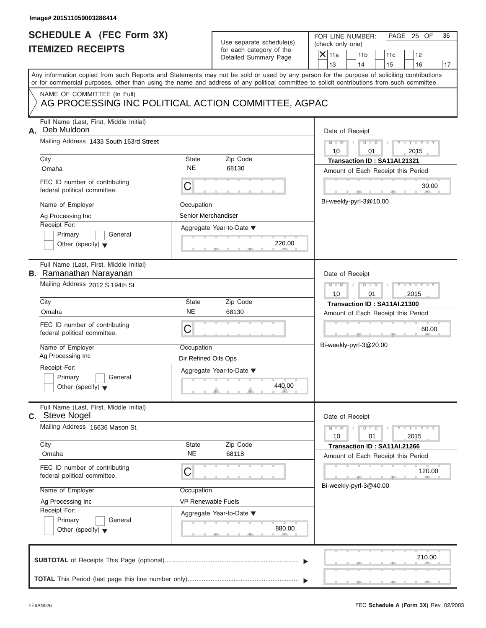| Image# 201511059003286414                                                          |                                         |                                                                               |                                                                                                                                                                                                                                                                                         |
|------------------------------------------------------------------------------------|-----------------------------------------|-------------------------------------------------------------------------------|-----------------------------------------------------------------------------------------------------------------------------------------------------------------------------------------------------------------------------------------------------------------------------------------|
| <b>SCHEDULE A (FEC Form 3X)</b><br><b>ITEMIZED RECEIPTS</b>                        |                                         | Use separate schedule(s)<br>for each category of the<br>Detailed Summary Page | FOR LINE NUMBER:<br>PAGE 25 OF<br>36<br>(check only one)<br>$\overline{X}$ 11a<br>11 <sub>b</sub><br>11c<br>12<br>13<br>14<br>15<br>16<br>17                                                                                                                                            |
|                                                                                    |                                         |                                                                               | Any information copied from such Reports and Statements may not be sold or used by any person for the purpose of soliciting contributions<br>or for commercial purposes, other than using the name and address of any political committee to solicit contributions from such committee. |
| NAME OF COMMITTEE (In Full)<br>AG PROCESSING INC POLITICAL ACTION COMMITTEE, AGPAC |                                         |                                                                               |                                                                                                                                                                                                                                                                                         |
| Full Name (Last, First, Middle Initial)<br>Deb Muldoon<br>А.                       |                                         |                                                                               | Date of Receipt                                                                                                                                                                                                                                                                         |
| Mailing Address 1433 South 163rd Street                                            |                                         |                                                                               | $M - M$<br>$D$ $D$<br>Y TYT<br>10<br>2015<br>01                                                                                                                                                                                                                                         |
| City<br>Omaha                                                                      | State<br><b>NE</b>                      | Zip Code<br>68130                                                             | Transaction ID: SA11AI.21321<br>Amount of Each Receipt this Period                                                                                                                                                                                                                      |
| FEC ID number of contributing<br>federal political committee.                      | C                                       |                                                                               | 30.00                                                                                                                                                                                                                                                                                   |
| Name of Employer<br>Ag Processing Inc                                              | Occupation<br>Senior Merchandiser       |                                                                               | Bi-weekly-pyrl-3@10.00                                                                                                                                                                                                                                                                  |
| Receipt For:<br>Primary<br>General<br>Other (specify) $\blacktriangledown$         |                                         | Aggregate Year-to-Date ▼<br>220.00                                            |                                                                                                                                                                                                                                                                                         |
| Full Name (Last, First, Middle Initial)<br><b>B.</b> Ramanathan Narayanan          |                                         |                                                                               | Date of Receipt                                                                                                                                                                                                                                                                         |
| Mailing Address 2012 S 194th St                                                    |                                         |                                                                               | $M - M$<br>$D$ $\Box$ $D$<br>Y TY<br>10<br>01<br>2015                                                                                                                                                                                                                                   |
| City                                                                               | State                                   | Zip Code                                                                      | Transaction ID: SA11AI.21300                                                                                                                                                                                                                                                            |
| Omaha<br>FEC ID number of contributing<br>federal political committee.             | <b>NE</b><br>C                          | 68130                                                                         | Amount of Each Receipt this Period<br>60.00<br>$-9$                                                                                                                                                                                                                                     |
| Name of Employer<br>Ag Processing Inc                                              | Occupation<br>Dir Refined Oils Ops      |                                                                               | Bi-weekly-pyrl-3@20.00                                                                                                                                                                                                                                                                  |
| Receipt For:<br>Primary<br>General<br>Other (specify) $\blacktriangledown$         |                                         | Aggregate Year-to-Date ▼<br>440.00                                            |                                                                                                                                                                                                                                                                                         |
| Full Name (Last, First, Middle Initial)<br>C. Steve Nogel                          |                                         |                                                                               | Date of Receipt                                                                                                                                                                                                                                                                         |
| Mailing Address 16636 Mason St.                                                    |                                         |                                                                               | $M - M$<br>$Y - Y$<br>$D - D$<br>2015<br>10<br>01                                                                                                                                                                                                                                       |
| City<br>Omaha                                                                      | State<br><b>NE</b>                      | Zip Code<br>68118                                                             | Transaction ID: SA11AI.21266<br>Amount of Each Receipt this Period                                                                                                                                                                                                                      |
| FEC ID number of contributing<br>federal political committee.                      | С                                       |                                                                               | 120.00<br>Bi-weekly-pyrl-3@40.00                                                                                                                                                                                                                                                        |
| Name of Employer<br>Ag Processing Inc                                              | Occupation<br><b>VP Renewable Fuels</b> |                                                                               |                                                                                                                                                                                                                                                                                         |
| Receipt For:<br>Primary<br>General<br>Other (specify) $\blacktriangledown$         |                                         | Aggregate Year-to-Date ▼<br>880.00                                            |                                                                                                                                                                                                                                                                                         |
|                                                                                    |                                         |                                                                               | 210.00                                                                                                                                                                                                                                                                                  |
|                                                                                    |                                         |                                                                               |                                                                                                                                                                                                                                                                                         |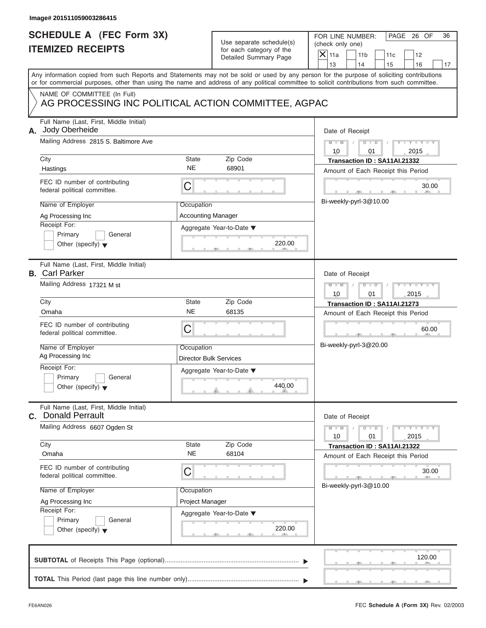| Image# 201511059003286415                                                                                                                                                                                                                                                                                      |                                                                                                                                   |                                                                                                                                                                                                  |
|----------------------------------------------------------------------------------------------------------------------------------------------------------------------------------------------------------------------------------------------------------------------------------------------------------------|-----------------------------------------------------------------------------------------------------------------------------------|--------------------------------------------------------------------------------------------------------------------------------------------------------------------------------------------------|
| <b>SCHEDULE A (FEC Form 3X)</b><br><b>ITEMIZED RECEIPTS</b>                                                                                                                                                                                                                                                    | Use separate schedule(s)<br>for each category of the<br>Detailed Summary Page                                                     | FOR LINE NUMBER:<br>PAGE 26 OF<br>36<br>(check only one)<br>$\overline{X}$ 11a<br>11 <sub>b</sub><br>11c<br>12<br>13<br>14<br>15<br>16<br>17                                                     |
| Any information copied from such Reports and Statements may not be sold or used by any person for the purpose of soliciting contributions<br>or for commercial purposes, other than using the name and address of any political committee to solicit contributions from such committee.                        |                                                                                                                                   |                                                                                                                                                                                                  |
| NAME OF COMMITTEE (In Full)                                                                                                                                                                                                                                                                                    | AG PROCESSING INC POLITICAL ACTION COMMITTEE, AGPAC                                                                               |                                                                                                                                                                                                  |
| Full Name (Last, First, Middle Initial)<br>Jody Oberheide<br>А.<br>Mailing Address 2815 S. Baltimore Ave<br>City<br>Hastings<br>FEC ID number of contributing<br>federal political committee.                                                                                                                  | State<br>Zip Code<br><b>NE</b><br>68901<br>C                                                                                      | Date of Receipt<br>$M - M$<br>$D$ $D$<br>Y TYT<br>10<br>2015<br>01<br>Transaction ID: SA11AI.21332<br>Amount of Each Receipt this Period<br>30.00                                                |
| Name of Employer<br>Ag Processing Inc<br>Receipt For:<br>Primary<br>General<br>Other (specify) $\blacktriangledown$                                                                                                                                                                                            | Occupation<br><b>Accounting Manager</b><br>Aggregate Year-to-Date ▼<br>220.00                                                     | Bi-weekly-pyrl-3@10.00                                                                                                                                                                           |
| Full Name (Last, First, Middle Initial)<br><b>B.</b> Carl Parker<br>Mailing Address 17321 M st<br>City<br>Omaha<br>FEC ID number of contributing<br>federal political committee.<br>Name of Employer<br>Ag Processing Inc<br>Receipt For:<br>Primary<br>General<br>Other (specify) $\blacktriangledown$        | State<br>Zip Code<br><b>NE</b><br>68135<br>C<br>Occupation<br><b>Director Bulk Services</b><br>Aggregate Year-to-Date ▼<br>440.00 | Date of Receipt<br>$M - M$<br>$D$ $\Box$ $D$<br>$Y = Y - Y$<br>10<br>01<br>2015<br>Transaction ID: SA11AI.21273<br>Amount of Each Receipt this Period<br>60.00<br>$-7$<br>Bi-weekly-pyrl-3@20.00 |
| Full Name (Last, First, Middle Initial)<br><b>C.</b> Donald Perrault<br>Mailing Address 6607 Ogden St<br>City<br>Omaha<br>FEC ID number of contributing<br>federal political committee.<br>Name of Employer<br>Ag Processing Inc<br>Receipt For:<br>Primary<br>General<br>Other (specify) $\blacktriangledown$ | Zip Code<br>State<br><b>NE</b><br>68104<br>С<br>Occupation<br>Project Manager<br>Aggregate Year-to-Date ▼<br>220.00               | Date of Receipt<br>$Y - Y$<br>$M - M$<br>$D - D$<br>2015<br>10<br>01<br>Transaction ID: SA11AI.21322<br>Amount of Each Receipt this Period<br>30.00<br>Bi-weekly-pyrl-3@10.00                    |
|                                                                                                                                                                                                                                                                                                                |                                                                                                                                   | 120.00                                                                                                                                                                                           |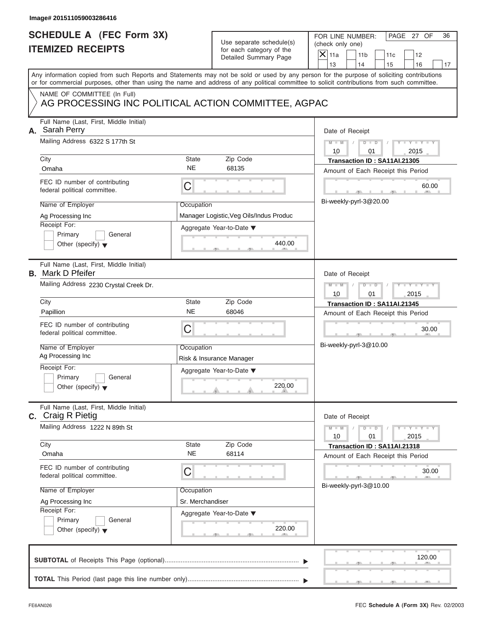|  | Image# 201511059003286416                                                                                                                  |                                |                                                                               |                                                                                                                                           |
|--|--------------------------------------------------------------------------------------------------------------------------------------------|--------------------------------|-------------------------------------------------------------------------------|-------------------------------------------------------------------------------------------------------------------------------------------|
|  | <b>SCHEDULE A (FEC Form 3X)</b><br><b>ITEMIZED RECEIPTS</b>                                                                                |                                | Use separate schedule(s)<br>for each category of the<br>Detailed Summary Page | FOR LINE NUMBER:<br>PAGE 27 OF<br>36<br>(check only one)<br>$\mathsf{X}$ 11a<br>11 <sub>b</sub><br>11c<br>12                              |
|  |                                                                                                                                            |                                |                                                                               | 13<br>14<br>15<br>16<br>17                                                                                                                |
|  | or for commercial purposes, other than using the name and address of any political committee to solicit contributions from such committee. |                                |                                                                               | Any information copied from such Reports and Statements may not be sold or used by any person for the purpose of soliciting contributions |
|  | NAME OF COMMITTEE (In Full)<br>AG PROCESSING INC POLITICAL ACTION COMMITTEE, AGPAC                                                         |                                |                                                                               |                                                                                                                                           |
|  | Full Name (Last, First, Middle Initial)<br>A. Sarah Perry                                                                                  |                                |                                                                               | Date of Receipt                                                                                                                           |
|  | Mailing Address 6322 S 177th St                                                                                                            |                                |                                                                               | $D$ $\Box$ $D$<br>$Y - Y - Y - Y - T$<br>$M - M$<br>10<br>2015<br>01                                                                      |
|  | City<br>Omaha                                                                                                                              | State<br><b>NE</b>             | Zip Code<br>68135                                                             | Transaction ID: SA11AI.21305<br>Amount of Each Receipt this Period                                                                        |
|  | FEC ID number of contributing<br>federal political committee.                                                                              | С                              |                                                                               | 60.00                                                                                                                                     |
|  | Name of Employer<br>Ag Processing Inc                                                                                                      | Occupation                     | Manager Logistic, Veg Oils/Indus Produc                                       | Bi-weekly-pyrl-3@20.00                                                                                                                    |
|  | Receipt For:<br>Primary<br>General<br>Other (specify) $\blacktriangledown$                                                                 |                                | Aggregate Year-to-Date ▼<br>440.00                                            |                                                                                                                                           |
|  | Full Name (Last, First, Middle Initial)<br><b>B.</b> Mark D Pfeifer                                                                        |                                |                                                                               | Date of Receipt                                                                                                                           |
|  | Mailing Address 2230 Crystal Creek Dr.                                                                                                     |                                |                                                                               | $M - M$<br>$D$ $D$<br>Y I Y I Y I<br>10<br>01<br>2015                                                                                     |
|  | City<br>Papillion                                                                                                                          | State<br><b>NE</b>             | Zip Code<br>68046                                                             | Transaction ID: SA11AI.21345<br>Amount of Each Receipt this Period                                                                        |
|  | FEC ID number of contributing<br>federal political committee.                                                                              | С                              |                                                                               | 30.00<br>$-7$                                                                                                                             |
|  | Name of Employer<br>Ag Processing Inc                                                                                                      | Occupation                     | Risk & Insurance Manager                                                      | Bi-weekly-pyrl-3@10.00                                                                                                                    |
|  | Receipt For:<br>Primary<br>General<br>Other (specify) $\blacktriangledown$                                                                 |                                | Aggregate Year-to-Date ▼<br>220.00                                            |                                                                                                                                           |
|  | Full Name (Last, First, Middle Initial)<br><b>c.</b> Craig R Pietig                                                                        |                                |                                                                               | Date of Receipt                                                                                                                           |
|  | Mailing Address 1222 N 89th St                                                                                                             |                                |                                                                               | $Y - Y - I$<br>$M - M$<br>$D$ $D$<br>2015<br>10<br>01                                                                                     |
|  | City<br>Omaha                                                                                                                              | State<br><b>NE</b>             | Zip Code<br>68114                                                             | Transaction ID: SA11AI.21318<br>Amount of Each Receipt this Period                                                                        |
|  | FEC ID number of contributing<br>federal political committee.                                                                              | С                              |                                                                               | 30.00<br>Bi-weekly-pyrl-3@10.00                                                                                                           |
|  | Name of Employer                                                                                                                           | Occupation<br>Sr. Merchandiser |                                                                               |                                                                                                                                           |
|  | Ag Processing Inc<br>Receipt For:<br>Primary<br>General<br>Other (specify) $\blacktriangledown$                                            |                                | Aggregate Year-to-Date ▼<br>220.00                                            |                                                                                                                                           |
|  |                                                                                                                                            |                                |                                                                               | 120.00                                                                                                                                    |
|  |                                                                                                                                            |                                |                                                                               |                                                                                                                                           |

 $\mathcal{T}$  s s  $\mathcal{T}$  , and  $\mathcal{T}$  , .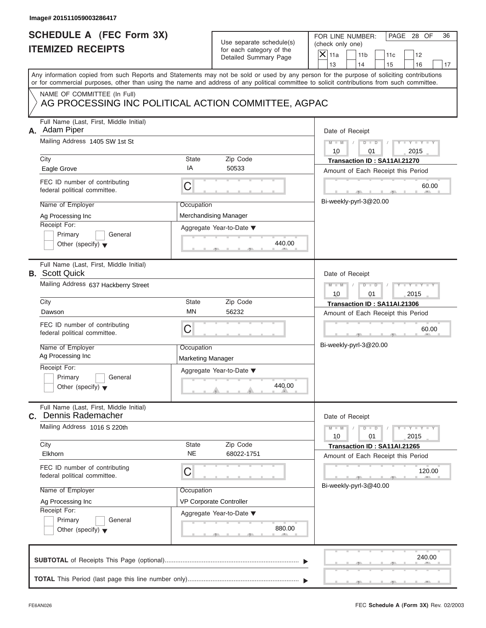|    | Image# 201511059003286417                                                                                                                                                                                                                                                                                  |                                                                          |                                                                                         |                                                                                                                                                                                                                                                                                         |
|----|------------------------------------------------------------------------------------------------------------------------------------------------------------------------------------------------------------------------------------------------------------------------------------------------------------|--------------------------------------------------------------------------|-----------------------------------------------------------------------------------------|-----------------------------------------------------------------------------------------------------------------------------------------------------------------------------------------------------------------------------------------------------------------------------------------|
|    | <b>SCHEDULE A (FEC Form 3X)</b><br><b>ITEMIZED RECEIPTS</b>                                                                                                                                                                                                                                                |                                                                          | Use separate schedule(s)<br>for each category of the<br>Detailed Summary Page           | FOR LINE NUMBER:<br>PAGE 28 OF<br>36<br>(check only one)<br>$\overline{X}$ 11a<br>11 <sub>b</sub><br>11c<br>12<br>13<br>14<br>15<br>16<br>17                                                                                                                                            |
|    |                                                                                                                                                                                                                                                                                                            |                                                                          |                                                                                         | Any information copied from such Reports and Statements may not be sold or used by any person for the purpose of soliciting contributions<br>or for commercial purposes, other than using the name and address of any political committee to solicit contributions from such committee. |
|    | NAME OF COMMITTEE (In Full)<br>AG PROCESSING INC POLITICAL ACTION COMMITTEE, AGPAC                                                                                                                                                                                                                         |                                                                          |                                                                                         |                                                                                                                                                                                                                                                                                         |
| А. | Full Name (Last, First, Middle Initial)<br>Adam Piper<br>Mailing Address 1405 SW 1st St<br>City<br>Eagle Grove<br>FEC ID number of contributing<br>federal political committee.<br>Name of Employer<br>Ag Processing Inc<br>Receipt For:<br>Primary<br>General                                             | State<br>IA<br>C<br>Occupation                                           | Zip Code<br>50533<br>Merchandising Manager<br>Aggregate Year-to-Date ▼                  | Date of Receipt<br>$M - M$<br>$D$ $D$<br>Y TYT<br>10<br>2015<br>01<br>Transaction ID: SA11AI.21270<br>Amount of Each Receipt this Period<br>60.00<br>Bi-weekly-pyrl-3@20.00                                                                                                             |
|    | Other (specify) $\blacktriangledown$<br>Full Name (Last, First, Middle Initial)<br><b>B.</b> Scott Quick<br>Mailing Address 637 Hackberry Street                                                                                                                                                           |                                                                          | 440.00                                                                                  | Date of Receipt<br>$M - M$<br>$D$ $D$<br>$Y - Y - I$<br>10<br>01<br>2015                                                                                                                                                                                                                |
|    | City<br>Dawson<br>FEC ID number of contributing<br>federal political committee.<br>Name of Employer<br>Ag Processing Inc<br>Receipt For:<br>Primary<br>General<br>Other (specify) $\blacktriangledown$                                                                                                     | <b>State</b><br><b>MN</b><br>С<br>Occupation<br><b>Marketing Manager</b> | Zip Code<br>56232<br>Aggregate Year-to-Date ▼<br>440.00                                 | Transaction ID: SA11AI.21306<br>Amount of Each Receipt this Period<br>60.00<br>Bi-weekly-pyrl-3@20.00                                                                                                                                                                                   |
|    | Full Name (Last, First, Middle Initial)<br>C. Dennis Rademacher<br>Mailing Address 1016 S 220th<br>City<br>Elkhorn<br>FEC ID number of contributing<br>federal political committee.<br>Name of Employer<br>Ag Processing Inc<br>Receipt For:<br>Primary<br>General<br>Other (specify) $\blacktriangledown$ | State<br><b>NE</b><br>С<br>Occupation                                    | Zip Code<br>68022-1751<br>VP Corporate Controller<br>Aggregate Year-to-Date ▼<br>880.00 | Date of Receipt<br>$M - M$<br>$Y - Y$<br>$D - D$<br>2015<br>10<br>01<br>Transaction ID: SA11AI.21265<br>Amount of Each Receipt this Period<br>120.00<br>Bi-weekly-pyrl-3@40.00                                                                                                          |
|    |                                                                                                                                                                                                                                                                                                            |                                                                          |                                                                                         | 240.00                                                                                                                                                                                                                                                                                  |
|    |                                                                                                                                                                                                                                                                                                            |                                                                          |                                                                                         |                                                                                                                                                                                                                                                                                         |

S S S , , .

a.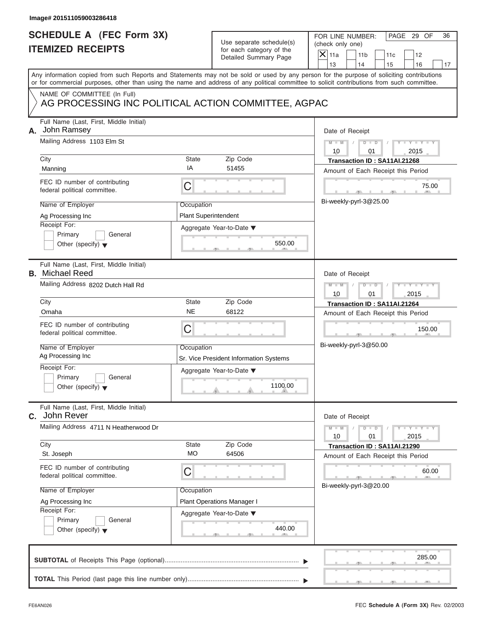|    | Image# 201511059003286418                                                          |                                                   |                                                      |                                                                                                                                            |
|----|------------------------------------------------------------------------------------|---------------------------------------------------|------------------------------------------------------|--------------------------------------------------------------------------------------------------------------------------------------------|
|    | <b>SCHEDULE A (FEC Form 3X)</b><br><b>ITEMIZED RECEIPTS</b>                        |                                                   | Use separate schedule(s)<br>for each category of the | FOR LINE NUMBER:<br>PAGE 29 OF<br>36<br>(check only one)<br>$X$ 11a                                                                        |
|    |                                                                                    |                                                   | Detailed Summary Page                                | 11 <sub>b</sub><br>11c<br>12<br>13<br>14<br>15<br>16<br>17                                                                                 |
|    |                                                                                    |                                                   |                                                      | Any information copied from such Reports and Statements may not be sold or used by any person for the purpose of soliciting contributions  |
|    |                                                                                    |                                                   |                                                      | or for commercial purposes, other than using the name and address of any political committee to solicit contributions from such committee. |
|    | NAME OF COMMITTEE (In Full)<br>AG PROCESSING INC POLITICAL ACTION COMMITTEE, AGPAC |                                                   |                                                      |                                                                                                                                            |
| А. | Full Name (Last, First, Middle Initial)<br>John Ramsey                             |                                                   |                                                      | Date of Receipt                                                                                                                            |
|    | Mailing Address 1103 Elm St                                                        |                                                   |                                                      | $D$ $D$<br>Y TYT<br>$M - M$<br>10<br>2015<br>01                                                                                            |
|    | City                                                                               | <b>State</b>                                      | Zip Code                                             | Transaction ID: SA11AI.21268                                                                                                               |
|    | Manning                                                                            | IA                                                | 51455                                                | Amount of Each Receipt this Period                                                                                                         |
|    | FEC ID number of contributing<br>federal political committee.                      | C                                                 |                                                      | 75.00                                                                                                                                      |
|    | Name of Employer                                                                   | Occupation                                        |                                                      | Bi-weekly-pyrl-3@25.00                                                                                                                     |
|    | Ag Processing Inc                                                                  | <b>Plant Superintendent</b>                       |                                                      |                                                                                                                                            |
|    | Receipt For:                                                                       |                                                   | Aggregate Year-to-Date ▼                             |                                                                                                                                            |
|    | Primary<br>General<br>Other (specify) $\blacktriangledown$                         |                                                   | 550.00                                               |                                                                                                                                            |
|    | Full Name (Last, First, Middle Initial)<br><b>B.</b> Michael Reed                  |                                                   |                                                      | Date of Receipt                                                                                                                            |
|    | Mailing Address 8202 Dutch Hall Rd                                                 | $Y - Y$<br>$M - M$<br>$D$ $D$<br>2015<br>10<br>01 |                                                      |                                                                                                                                            |
|    | City                                                                               | <b>State</b>                                      | Zip Code                                             | Transaction ID: SA11AI.21264                                                                                                               |
|    | Omaha                                                                              | <b>NE</b>                                         | 68122                                                | Amount of Each Receipt this Period                                                                                                         |
|    | FEC ID number of contributing<br>federal political committee.                      | C                                                 |                                                      | 150.00<br>$-9$                                                                                                                             |
|    | Name of Employer                                                                   | Occupation                                        |                                                      | Bi-weekly-pyrl-3@50.00                                                                                                                     |
|    | Ag Processing Inc                                                                  |                                                   | Sr. Vice President Information Systems               |                                                                                                                                            |
|    | Receipt For:                                                                       |                                                   | Aggregate Year-to-Date ▼                             |                                                                                                                                            |
|    | Primary<br>General<br>Other (specify) $\blacktriangledown$                         |                                                   | 1100.00                                              |                                                                                                                                            |
| C. | Full Name (Last, First, Middle Initial)<br>John Rever                              |                                                   |                                                      | Date of Receipt                                                                                                                            |
|    | Mailing Address 4711 N Heatherwood Dr                                              |                                                   |                                                      | $T - Y = T - Y$<br>$M - M$<br>$D$ $D$<br>2015<br>10<br>01                                                                                  |
|    | City<br>St. Joseph                                                                 | State<br>МO                                       | Zip Code<br>64506                                    | Transaction ID: SA11AI.21290<br>Amount of Each Receipt this Period                                                                         |
|    | FEC ID number of contributing<br>federal political committee.                      | C                                                 |                                                      | 60.00                                                                                                                                      |
|    | Name of Employer                                                                   | Occupation                                        |                                                      | Bi-weekly-pyrl-3@20.00                                                                                                                     |
|    | Ag Processing Inc                                                                  |                                                   | Plant Operations Manager I                           |                                                                                                                                            |
|    | Receipt For:                                                                       |                                                   | Aggregate Year-to-Date ▼                             |                                                                                                                                            |
|    | Primary<br>General<br>Other (specify) $\blacktriangledown$                         |                                                   | 440.00                                               |                                                                                                                                            |
|    |                                                                                    |                                                   |                                                      | 285.00                                                                                                                                     |
|    |                                                                                    |                                                   |                                                      |                                                                                                                                            |

 $S = 1, 1, 2, 3, ...$  ,  $S = 1, 3, ...$  ,  $S = 1, 3, ...$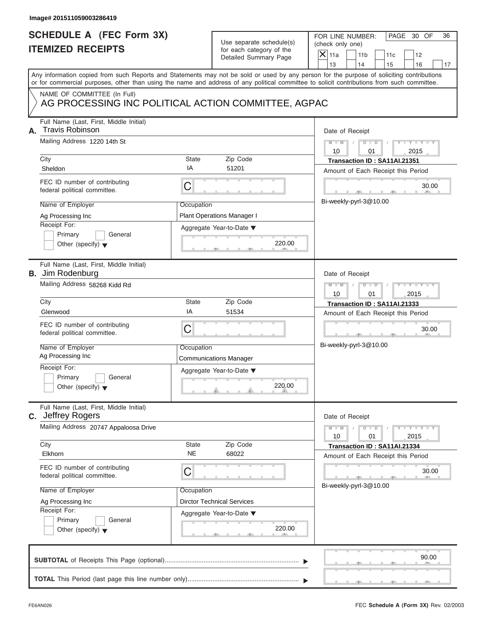|                                                             | Image# 201511059003286419                                                          |                                                              |                                                      |                                                                                                                                                                                                                                                                                         |  |
|-------------------------------------------------------------|------------------------------------------------------------------------------------|--------------------------------------------------------------|------------------------------------------------------|-----------------------------------------------------------------------------------------------------------------------------------------------------------------------------------------------------------------------------------------------------------------------------------------|--|
| <b>SCHEDULE A (FEC Form 3X)</b><br><b>ITEMIZED RECEIPTS</b> |                                                                                    |                                                              | Use separate schedule(s)<br>for each category of the | FOR LINE NUMBER:<br>PAGE 30 OF<br>36<br>(check only one)<br>$\mathsf{X} _{\mathsf{11a}}$<br>11 <sub>b</sub><br>11c<br>12                                                                                                                                                                |  |
|                                                             |                                                                                    |                                                              | Detailed Summary Page                                | 13<br>14<br>15<br>16<br>17                                                                                                                                                                                                                                                              |  |
|                                                             |                                                                                    |                                                              |                                                      | Any information copied from such Reports and Statements may not be sold or used by any person for the purpose of soliciting contributions<br>or for commercial purposes, other than using the name and address of any political committee to solicit contributions from such committee. |  |
|                                                             | NAME OF COMMITTEE (In Full)<br>AG PROCESSING INC POLITICAL ACTION COMMITTEE, AGPAC |                                                              |                                                      |                                                                                                                                                                                                                                                                                         |  |
|                                                             |                                                                                    |                                                              |                                                      |                                                                                                                                                                                                                                                                                         |  |
| А.                                                          | Full Name (Last, First, Middle Initial)<br><b>Travis Robinson</b>                  |                                                              |                                                      | Date of Receipt                                                                                                                                                                                                                                                                         |  |
|                                                             | Mailing Address 1220 14th St                                                       |                                                              |                                                      | $D - D$<br>$Y - Y - Y - Y - Y$<br>$M - M$<br>10<br>2015<br>01                                                                                                                                                                                                                           |  |
|                                                             | City                                                                               | State                                                        | Zip Code                                             | Transaction ID: SA11AI.21351                                                                                                                                                                                                                                                            |  |
|                                                             | Sheldon                                                                            | IA                                                           | 51201                                                | Amount of Each Receipt this Period                                                                                                                                                                                                                                                      |  |
|                                                             | FEC ID number of contributing<br>federal political committee.                      | C                                                            |                                                      | 30.00                                                                                                                                                                                                                                                                                   |  |
|                                                             | Name of Employer                                                                   | Occupation                                                   |                                                      | Bi-weekly-pyrl-3@10.00                                                                                                                                                                                                                                                                  |  |
|                                                             | Ag Processing Inc                                                                  |                                                              | Plant Operations Manager I                           |                                                                                                                                                                                                                                                                                         |  |
|                                                             | Receipt For:                                                                       |                                                              | Aggregate Year-to-Date ▼                             |                                                                                                                                                                                                                                                                                         |  |
|                                                             | Primary<br>General<br>Other (specify) $\blacktriangledown$                         |                                                              | 220.00                                               |                                                                                                                                                                                                                                                                                         |  |
|                                                             | Full Name (Last, First, Middle Initial)<br><b>B.</b> Jim Rodenburg                 |                                                              |                                                      | Date of Receipt                                                                                                                                                                                                                                                                         |  |
|                                                             | Mailing Address 58268 Kidd Rd                                                      | Y T Y T Y T<br>$D$ $\Box$ $D$<br>$M - M$<br>10<br>01<br>2015 |                                                      |                                                                                                                                                                                                                                                                                         |  |
|                                                             | City                                                                               | <b>State</b>                                                 | Zip Code                                             | Transaction ID: SA11AI.21333                                                                                                                                                                                                                                                            |  |
|                                                             | Glenwood                                                                           | IA                                                           | 51534                                                | Amount of Each Receipt this Period                                                                                                                                                                                                                                                      |  |
|                                                             | FEC ID number of contributing<br>federal political committee.                      | C                                                            |                                                      | 30.00<br>$-9$                                                                                                                                                                                                                                                                           |  |
|                                                             | Name of Employer                                                                   | Occupation                                                   |                                                      | Bi-weekly-pyrl-3@10.00                                                                                                                                                                                                                                                                  |  |
|                                                             | Ag Processing Inc                                                                  |                                                              | <b>Communications Manager</b>                        |                                                                                                                                                                                                                                                                                         |  |
|                                                             | Receipt For:                                                                       |                                                              | Aggregate Year-to-Date ▼                             |                                                                                                                                                                                                                                                                                         |  |
|                                                             | Primary<br>General<br>Other (specify) $\blacktriangledown$                         |                                                              | 220.00                                               |                                                                                                                                                                                                                                                                                         |  |
| C.                                                          | Full Name (Last, First, Middle Initial)<br>Jeffrey Rogers                          |                                                              |                                                      | Date of Receipt                                                                                                                                                                                                                                                                         |  |
|                                                             | Mailing Address 20747 Appaloosa Drive                                              |                                                              |                                                      | $Y - Y$<br>$M - M$<br>D<br>$\blacksquare$<br>2015<br>10<br>01                                                                                                                                                                                                                           |  |
|                                                             | City<br>Elkhorn                                                                    | <b>State</b><br><b>NE</b>                                    | Zip Code<br>68022                                    | Transaction ID: SA11AI.21334<br>Amount of Each Receipt this Period                                                                                                                                                                                                                      |  |
|                                                             | FEC ID number of contributing<br>federal political committee.                      | C                                                            |                                                      | 30.00                                                                                                                                                                                                                                                                                   |  |
|                                                             | Name of Employer                                                                   | Occupation                                                   |                                                      | Bi-weekly-pyrl-3@10.00                                                                                                                                                                                                                                                                  |  |
|                                                             | Ag Processing Inc                                                                  |                                                              | <b>Dirctor Technical Services</b>                    |                                                                                                                                                                                                                                                                                         |  |
|                                                             | Receipt For:                                                                       |                                                              | Aggregate Year-to-Date ▼                             |                                                                                                                                                                                                                                                                                         |  |
|                                                             | Primary<br>General<br>Other (specify) $\blacktriangledown$                         |                                                              | 220.00                                               |                                                                                                                                                                                                                                                                                         |  |
|                                                             |                                                                                    |                                                              |                                                      | 90.00                                                                                                                                                                                                                                                                                   |  |
|                                                             |                                                                                    |                                                              |                                                      |                                                                                                                                                                                                                                                                                         |  |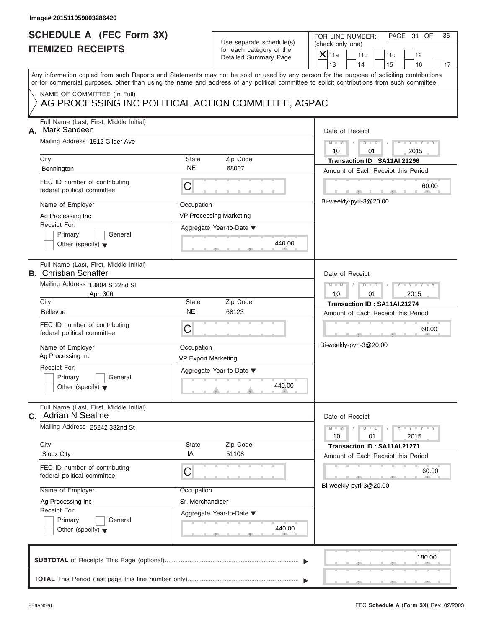| Image# 201511059003286420                                                                                                                                                                                                                                                                                      |                                                                                                                                |                                                                                                                                                                                    |
|----------------------------------------------------------------------------------------------------------------------------------------------------------------------------------------------------------------------------------------------------------------------------------------------------------------|--------------------------------------------------------------------------------------------------------------------------------|------------------------------------------------------------------------------------------------------------------------------------------------------------------------------------|
| <b>SCHEDULE A (FEC Form 3X)</b><br><b>ITEMIZED RECEIPTS</b>                                                                                                                                                                                                                                                    | Use separate schedule(s)<br>for each category of the<br>Detailed Summary Page                                                  | FOR LINE NUMBER:<br>PAGE 31 OF<br>36<br>(check only one)<br>$\overline{X}$ 11a<br>11 <sub>b</sub><br>11c<br>12<br>13<br>14<br>15<br>16<br>17                                       |
| Any information copied from such Reports and Statements may not be sold or used by any person for the purpose of soliciting contributions<br>or for commercial purposes, other than using the name and address of any political committee to solicit contributions from such committee.                        |                                                                                                                                |                                                                                                                                                                                    |
| NAME OF COMMITTEE (In Full)                                                                                                                                                                                                                                                                                    | AG PROCESSING INC POLITICAL ACTION COMMITTEE, AGPAC                                                                            |                                                                                                                                                                                    |
| Full Name (Last, First, Middle Initial)<br>Mark Sandeen<br>А.<br>Mailing Address 1512 Gilder Ave<br>City<br>Bennington<br>FEC ID number of contributing<br>federal political committee.<br>Name of Employer<br>Ag Processing Inc<br>Receipt For:<br>Primary<br>General                                         | State<br>Zip Code<br><b>NE</b><br>68007<br>C<br>Occupation<br><b>VP Processing Marketing</b><br>Aggregate Year-to-Date ▼       | Date of Receipt<br>$M - M$<br>$D$ $\Box$ $D$<br>Y TYT<br>10<br>2015<br>01<br>Transaction ID: SA11AI.21296<br>Amount of Each Receipt this Period<br>60.00<br>Bi-weekly-pyrl-3@20.00 |
| Other (specify) $\blacktriangledown$<br>Full Name (Last, First, Middle Initial)<br><b>B.</b> Christian Schaffer<br>Mailing Address 13804 S 22nd St<br>Apt. 306                                                                                                                                                 | 440.00                                                                                                                         | Date of Receipt<br>$M - M$<br>$D$ $D$<br>$Y - Y - I$<br>10<br>01<br>2015                                                                                                           |
| City<br><b>Bellevue</b><br>FEC ID number of contributing<br>federal political committee.<br>Name of Employer<br>Ag Processing Inc<br>Receipt For:<br>Primary<br>General<br>Other (specify) $\blacktriangledown$                                                                                                | State<br>Zip Code<br><b>NE</b><br>68123<br>C<br>Occupation<br><b>VP Export Marketing</b><br>Aggregate Year-to-Date ▼<br>440.00 | Transaction ID: SA11AI.21274<br>Amount of Each Receipt this Period<br>60.00<br>Bi-weekly-pyrl-3@20.00                                                                              |
| Full Name (Last, First, Middle Initial)<br>C. Adrian N Sealine<br>Mailing Address 25242 332nd St<br>City<br>Sioux City<br>FEC ID number of contributing<br>federal political committee.<br>Name of Employer<br>Ag Processing Inc<br>Receipt For:<br>Primary<br>General<br>Other (specify) $\blacktriangledown$ | Zip Code<br>State<br>IA<br>51108<br>С<br>Occupation<br>Sr. Merchandiser<br>Aggregate Year-to-Date ▼<br>440.00                  | Date of Receipt<br>$M - M$<br>$Y - Y$<br>$D - D$<br>2015<br>10<br>01<br>Transaction ID: SA11AI.21271<br>Amount of Each Receipt this Period<br>60.00<br>Bi-weekly-pyrl-3@20.00      |
|                                                                                                                                                                                                                                                                                                                |                                                                                                                                | 180.00                                                                                                                                                                             |

 $\mathcal{T}$  s s  $\mathcal{T}$  , and  $\mathcal{T}$  , .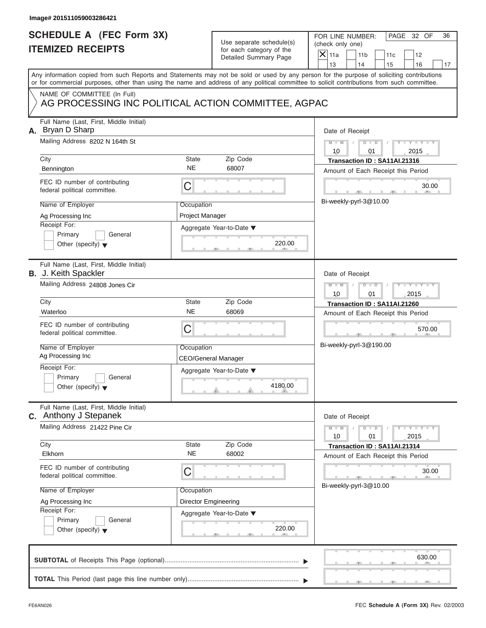| Image# 201511059003286421                                                                                                                  |                                          |                                                                               |                                                                                                                                              |
|--------------------------------------------------------------------------------------------------------------------------------------------|------------------------------------------|-------------------------------------------------------------------------------|----------------------------------------------------------------------------------------------------------------------------------------------|
| <b>SCHEDULE A (FEC Form 3X)</b><br><b>ITEMIZED RECEIPTS</b>                                                                                |                                          | Use separate schedule(s)<br>for each category of the<br>Detailed Summary Page | FOR LINE NUMBER:<br>PAGE 32 OF<br>36<br>(check only one)<br>$\overline{X}$ 11a<br>11 <sub>b</sub><br>11c<br>12<br>13<br>14<br>16<br>15<br>17 |
| or for commercial purposes, other than using the name and address of any political committee to solicit contributions from such committee. |                                          |                                                                               | Any information copied from such Reports and Statements may not be sold or used by any person for the purpose of soliciting contributions    |
| NAME OF COMMITTEE (In Full)<br>AG PROCESSING INC POLITICAL ACTION COMMITTEE, AGPAC                                                         |                                          |                                                                               |                                                                                                                                              |
| Full Name (Last, First, Middle Initial)<br>A. Bryan D Sharp<br>Mailing Address 8202 N 164th St<br>City                                     | State                                    | Zip Code                                                                      | Date of Receipt<br>$M - M$<br>$D$ $D$<br>Y TYT<br>10<br>01<br>2015<br>Transaction ID: SA11AI.21316                                           |
| Bennington                                                                                                                                 | <b>NE</b>                                | 68007                                                                         | Amount of Each Receipt this Period                                                                                                           |
| FEC ID number of contributing<br>federal political committee.                                                                              | С                                        |                                                                               | 30.00<br>Bi-weekly-pyrl-3@10.00                                                                                                              |
| Name of Employer<br>Ag Processing Inc<br>Receipt For:                                                                                      | Occupation<br>Project Manager            |                                                                               |                                                                                                                                              |
| Primary<br>General<br>Other (specify) $\blacktriangledown$                                                                                 |                                          | Aggregate Year-to-Date ▼<br>220.00                                            |                                                                                                                                              |
| Full Name (Last, First, Middle Initial)<br><b>B.</b> J. Keith Spackler                                                                     |                                          |                                                                               | Date of Receipt                                                                                                                              |
| Mailing Address 24808 Jones Cir                                                                                                            |                                          |                                                                               | $D - D$<br>$M - M$<br>$T - Y = T - Y = T$<br>10<br>01<br>2015                                                                                |
| City<br>Waterloo                                                                                                                           | State<br><b>NE</b>                       | Zip Code<br>68069                                                             | Transaction ID: SA11AI.21260                                                                                                                 |
| FEC ID number of contributing<br>federal political committee.                                                                              | C                                        |                                                                               | Amount of Each Receipt this Period<br>570.00<br>$\cdots$                                                                                     |
| Name of Employer<br>Ag Processing Inc                                                                                                      | Occupation<br><b>CEO/General Manager</b> |                                                                               | Bi-weekly-pyrl-3@190.00                                                                                                                      |
| Receipt For:<br>Primary<br>General<br>Other (specify) $\blacktriangledown$                                                                 |                                          | Aggregate Year-to-Date ▼<br>4180.00                                           |                                                                                                                                              |
| Full Name (Last, First, Middle Initial)<br>C. Anthony J Stepanek                                                                           |                                          |                                                                               | Date of Receipt                                                                                                                              |
| Mailing Address 21422 Pine Cir<br>City                                                                                                     | State                                    | Zip Code                                                                      | $M - M$<br>$Y = Y$<br>$D - D$<br>2015<br>10<br>01                                                                                            |
| Elkhorn                                                                                                                                    | <b>NE</b>                                | 68002                                                                         | Transaction ID: SA11AI.21314<br>Amount of Each Receipt this Period                                                                           |
| FEC ID number of contributing<br>federal political committee.                                                                              | С                                        |                                                                               | 30.00<br>Bi-weekly-pyrl-3@10.00                                                                                                              |
| Name of Employer                                                                                                                           | Occupation                               |                                                                               |                                                                                                                                              |
| Ag Processing Inc<br>Receipt For:                                                                                                          | <b>Director Emgineering</b>              | Aggregate Year-to-Date ▼                                                      |                                                                                                                                              |
| Primary<br>General<br>Other (specify) $\blacktriangledown$                                                                                 |                                          | 220.00                                                                        |                                                                                                                                              |
|                                                                                                                                            |                                          |                                                                               | 630.00                                                                                                                                       |
|                                                                                                                                            |                                          |                                                                               |                                                                                                                                              |

S S S , , .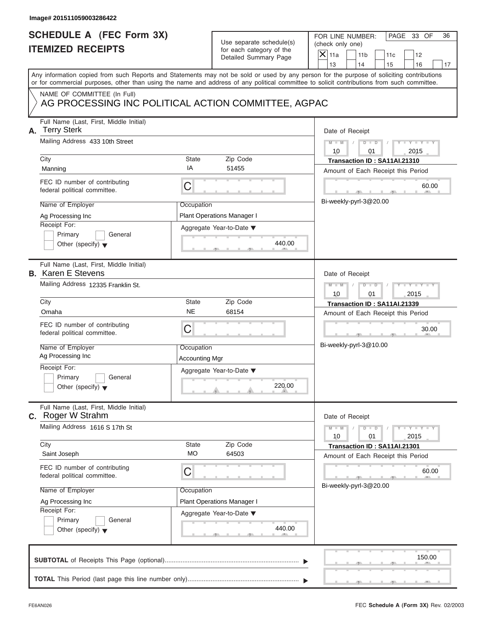|    | Image# 201511059003286422                                                                                                                                                                                                                                                                                                                                      |                                                         |                                                                                              |                                                                                                                                                                                                  |
|----|----------------------------------------------------------------------------------------------------------------------------------------------------------------------------------------------------------------------------------------------------------------------------------------------------------------------------------------------------------------|---------------------------------------------------------|----------------------------------------------------------------------------------------------|--------------------------------------------------------------------------------------------------------------------------------------------------------------------------------------------------|
|    | <b>SCHEDULE A (FEC Form 3X)</b><br><b>ITEMIZED RECEIPTS</b>                                                                                                                                                                                                                                                                                                    |                                                         | Use separate schedule(s)<br>for each category of the<br>Detailed Summary Page                | FOR LINE NUMBER:<br>PAGE 33 OF<br>36<br>(check only one)<br>$\overline{X}$ 11a<br>11 <sub>b</sub><br>11c<br>12<br>13<br>14<br>15<br>16<br>17                                                     |
|    | or for commercial purposes, other than using the name and address of any political committee to solicit contributions from such committee.                                                                                                                                                                                                                     |                                                         |                                                                                              | Any information copied from such Reports and Statements may not be sold or used by any person for the purpose of soliciting contributions                                                        |
|    | NAME OF COMMITTEE (In Full)<br>AG PROCESSING INC POLITICAL ACTION COMMITTEE, AGPAC                                                                                                                                                                                                                                                                             |                                                         |                                                                                              |                                                                                                                                                                                                  |
| А. | Full Name (Last, First, Middle Initial)<br><b>Terry Sterk</b><br>Mailing Address 433 10th Street<br>City<br>Manning<br>FEC ID number of contributing<br>federal political committee.<br>Name of Employer<br>Ag Processing Inc<br>Receipt For:                                                                                                                  | State<br>IA<br>C<br>Occupation                          | Zip Code<br>51455<br><b>Plant Operations Manager I</b><br>Aggregate Year-to-Date ▼           | Date of Receipt<br>$M - M$<br>$D$ $D$<br>Y TYT<br>10<br>2015<br>01<br>Transaction ID: SA11AI.21310<br>Amount of Each Receipt this Period<br>60.00<br>Bi-weekly-pyrl-3@20.00                      |
|    | Primary<br>General<br>Other (specify) $\blacktriangledown$                                                                                                                                                                                                                                                                                                     |                                                         | 440.00                                                                                       |                                                                                                                                                                                                  |
|    | Full Name (Last, First, Middle Initial)<br><b>B.</b> Karen E Stevens<br>Mailing Address 12335 Franklin St.<br>City<br>Omaha<br>FEC ID number of contributing<br>federal political committee.<br>Name of Employer<br>Ag Processing Inc<br>Receipt For:<br>Primary<br>General<br>Other (specify) $\blacktriangledown$<br>Full Name (Last, First, Middle Initial) | State<br><b>NE</b><br>C<br>Occupation<br>Accounting Mgr | Zip Code<br>68154<br>Aggregate Year-to-Date ▼<br>220.00                                      | Date of Receipt<br>$M - M$<br>$D$ $\Box$ $D$<br>Y I Y I Y I<br>10<br>01<br>2015<br>Transaction ID: SA11AI.21339<br>Amount of Each Receipt this Period<br>30.00<br>$-7$<br>Bi-weekly-pyrl-3@10.00 |
|    | <b>C.</b> Roger W Strahm<br>Mailing Address 1616 S 17th St<br>City<br>Saint Joseph<br>FEC ID number of contributing<br>federal political committee.<br>Name of Employer<br>Ag Processing Inc<br>Receipt For:<br>Primary<br>General<br>Other (specify) $\blacktriangledown$                                                                                     | State<br><b>MO</b><br>С<br>Occupation                   | Zip Code<br>64503<br><b>Plant Operations Manager I</b><br>Aggregate Year-to-Date ▼<br>440.00 | Date of Receipt<br>$Y - Y$<br>$M - M$<br>$D - D$<br>2015<br>10<br>01<br>Transaction ID: SA11AI.21301<br>Amount of Each Receipt this Period<br>60.00<br>Bi-weekly-pyrl-3@20.00                    |
|    |                                                                                                                                                                                                                                                                                                                                                                |                                                         |                                                                                              | 150.00                                                                                                                                                                                           |
|    |                                                                                                                                                                                                                                                                                                                                                                |                                                         |                                                                                              |                                                                                                                                                                                                  |

S S S , , .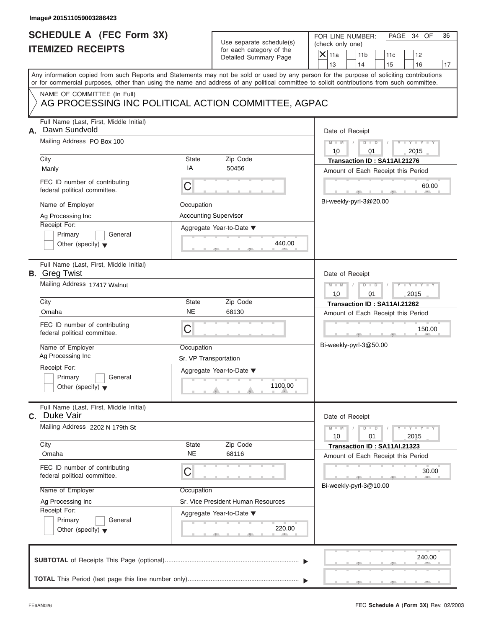|    | Image# 201511059003286423                                                                      |                                                           |                                                                               |                                                                                                                                                                                                                                                                                         |
|----|------------------------------------------------------------------------------------------------|-----------------------------------------------------------|-------------------------------------------------------------------------------|-----------------------------------------------------------------------------------------------------------------------------------------------------------------------------------------------------------------------------------------------------------------------------------------|
|    | <b>SCHEDULE A (FEC Form 3X)</b><br><b>ITEMIZED RECEIPTS</b>                                    |                                                           | Use separate schedule(s)<br>for each category of the<br>Detailed Summary Page | FOR LINE NUMBER:<br>PAGE 34 OF<br>36<br>(check only one)<br>$\mathsf{X}$ 11a<br>11 <sub>b</sub><br>11c<br>12<br>13<br>14<br>15<br>16<br>17                                                                                                                                              |
|    |                                                                                                |                                                           |                                                                               | Any information copied from such Reports and Statements may not be sold or used by any person for the purpose of soliciting contributions<br>or for commercial purposes, other than using the name and address of any political committee to solicit contributions from such committee. |
|    | NAME OF COMMITTEE (In Full)<br>AG PROCESSING INC POLITICAL ACTION COMMITTEE, AGPAC             |                                                           |                                                                               |                                                                                                                                                                                                                                                                                         |
| А. | Full Name (Last, First, Middle Initial)<br>Dawn Sundvold<br>Mailing Address PO Box 100<br>City | State                                                     | Zip Code                                                                      | Date of Receipt<br>$M - M$<br>$D$ $D$<br>$Y - Y - Y - Y$<br>10<br>01<br>2015<br>Transaction ID: SA11AI.21276                                                                                                                                                                            |
|    | Manly                                                                                          | IA                                                        | 50456                                                                         | Amount of Each Receipt this Period                                                                                                                                                                                                                                                      |
|    | FEC ID number of contributing<br>federal political committee.                                  | C                                                         |                                                                               | 60.00<br>Bi-weekly-pyrl-3@20.00                                                                                                                                                                                                                                                         |
|    | Name of Employer<br>Ag Processing Inc<br>Receipt For:                                          | Occupation<br><b>Accounting Supervisor</b>                |                                                                               |                                                                                                                                                                                                                                                                                         |
|    | Primary<br>General<br>Other (specify) $\blacktriangledown$                                     |                                                           | Aggregate Year-to-Date ▼<br>440.00                                            |                                                                                                                                                                                                                                                                                         |
|    | Full Name (Last, First, Middle Initial)<br><b>B.</b> Greg Twist                                |                                                           |                                                                               | Date of Receipt                                                                                                                                                                                                                                                                         |
|    | Mailing Address 17417 Walnut                                                                   | $M - M$<br>$D - I - D$<br>Y T Y T Y T<br>2015<br>10<br>01 |                                                                               |                                                                                                                                                                                                                                                                                         |
|    | City                                                                                           | State<br><b>NE</b>                                        | Zip Code                                                                      | Transaction ID: SA11AI.21262                                                                                                                                                                                                                                                            |
|    | Omaha                                                                                          |                                                           | 68130                                                                         | Amount of Each Receipt this Period                                                                                                                                                                                                                                                      |
|    | FEC ID number of contributing<br>federal political committee.                                  | C                                                         |                                                                               | 150.00                                                                                                                                                                                                                                                                                  |
|    | Name of Employer<br>Ag Processing Inc                                                          | Occupation<br>Sr. VP Transportation                       |                                                                               | Bi-weekly-pyrl-3@50.00                                                                                                                                                                                                                                                                  |
|    | Receipt For:<br>Primary<br>General<br>Other (specify) $\blacktriangledown$                     |                                                           | Aggregate Year-to-Date ▼<br>1100.00                                           |                                                                                                                                                                                                                                                                                         |
|    | Full Name (Last, First, Middle Initial)<br>C. Duke Vair                                        |                                                           |                                                                               | Date of Receipt                                                                                                                                                                                                                                                                         |
|    | Mailing Address 2202 N 179th St                                                                |                                                           |                                                                               | $M - M$<br>$\mathbf{I}$ $\mathbf{Y}$ $\mathbf{I}$ $\mathbf{Y}$ $\mathbf{I}$<br>$D$ $D$<br>10<br>01<br>2015                                                                                                                                                                              |
|    | City<br>Omaha                                                                                  | State<br><b>NE</b>                                        | Zip Code<br>68116                                                             | Transaction ID: SA11AI.21323<br>Amount of Each Receipt this Period                                                                                                                                                                                                                      |
|    | FEC ID number of contributing<br>federal political committee.                                  | С                                                         |                                                                               | 30.00<br>Bi-weekly-pyrl-3@10.00                                                                                                                                                                                                                                                         |
|    | Name of Employer                                                                               | Occupation                                                |                                                                               |                                                                                                                                                                                                                                                                                         |
|    | Ag Processing Inc<br>Receipt For:                                                              |                                                           | Sr. Vice President Human Resources                                            |                                                                                                                                                                                                                                                                                         |
|    | Primary<br>General<br>Other (specify) $\blacktriangledown$                                     |                                                           | Aggregate Year-to-Date ▼<br>220.00                                            |                                                                                                                                                                                                                                                                                         |
|    |                                                                                                |                                                           |                                                                               | 240.00                                                                                                                                                                                                                                                                                  |
|    |                                                                                                |                                                           |                                                                               |                                                                                                                                                                                                                                                                                         |

S S S , , .

a.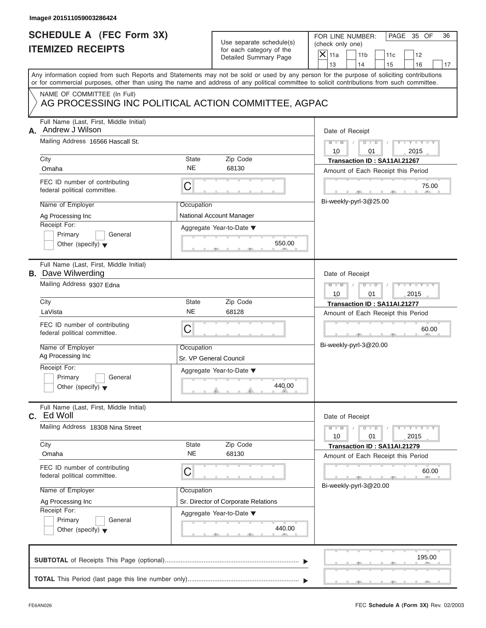| Image# 201511059003286424                                                                                                                                                                               |                                       |                                                                                    |                                                                                                                                                                                                                                                                                         |  |
|---------------------------------------------------------------------------------------------------------------------------------------------------------------------------------------------------------|---------------------------------------|------------------------------------------------------------------------------------|-----------------------------------------------------------------------------------------------------------------------------------------------------------------------------------------------------------------------------------------------------------------------------------------|--|
| <b>SCHEDULE A (FEC Form 3X)</b><br><b>ITEMIZED RECEIPTS</b>                                                                                                                                             |                                       | Use separate schedule(s)<br>for each category of the<br>Detailed Summary Page      | FOR LINE NUMBER:<br>PAGE 35 OF<br>36<br>(check only one)<br>$\mathsf{X}$ 11a<br>11 <sub>b</sub><br>11c<br>12<br>13<br>14<br>15<br>16<br>17                                                                                                                                              |  |
|                                                                                                                                                                                                         |                                       |                                                                                    | Any information copied from such Reports and Statements may not be sold or used by any person for the purpose of soliciting contributions<br>or for commercial purposes, other than using the name and address of any political committee to solicit contributions from such committee. |  |
| NAME OF COMMITTEE (In Full)<br>AG PROCESSING INC POLITICAL ACTION COMMITTEE, AGPAC                                                                                                                      |                                       |                                                                                    |                                                                                                                                                                                                                                                                                         |  |
| Full Name (Last, First, Middle Initial)<br>Andrew J Wilson<br>А.<br>Mailing Address 16566 Hascall St.                                                                                                   |                                       |                                                                                    | Date of Receipt<br>$D - D$<br>$M - M$<br>$Y - Y - Y - Y$                                                                                                                                                                                                                                |  |
| City<br>Omaha                                                                                                                                                                                           | State<br><b>NE</b>                    | Zip Code<br>68130                                                                  | 10<br>01<br>2015<br>Transaction ID: SA11AI.21267<br>Amount of Each Receipt this Period                                                                                                                                                                                                  |  |
| FEC ID number of contributing<br>federal political committee.                                                                                                                                           | C                                     |                                                                                    | 75.00                                                                                                                                                                                                                                                                                   |  |
| Name of Employer<br>Ag Processing Inc<br>Receipt For:<br>Primary<br>General<br>Other (specify) $\blacktriangledown$                                                                                     | Occupation                            | National Account Manager<br>Aggregate Year-to-Date ▼<br>550.00                     | Bi-weekly-pyrl-3@25.00                                                                                                                                                                                                                                                                  |  |
| Full Name (Last, First, Middle Initial)<br><b>B.</b> Dave Wilwerding<br>Mailing Address 9307 Edna                                                                                                       |                                       |                                                                                    | Date of Receipt<br>$M - M$<br>$D - I - D$<br>Y T Y T Y T<br>2015<br>10<br>01                                                                                                                                                                                                            |  |
| City<br>LaVista<br>FEC ID number of contributing<br>federal political committee.<br>Name of Employer<br>Ag Processing Inc<br>Receipt For:<br>Primary<br>General<br>Other (specify) $\blacktriangledown$ | State<br><b>NE</b><br>C<br>Occupation | Zip Code<br>68128<br>Sr. VP General Council<br>Aggregate Year-to-Date ▼<br>440.00  | Transaction ID: SA11AI.21277<br>Amount of Each Receipt this Period<br>60.00<br>$\mathbf{1}$<br>Bi-weekly-pyrl-3@20.00                                                                                                                                                                   |  |
| Full Name (Last, First, Middle Initial)<br>c. Ed Woll<br>Mailing Address 18308 Nina Street<br>City                                                                                                      | State                                 | Zip Code                                                                           | Date of Receipt<br>$M - M$<br>$\mathbf{I} = \mathbf{Y} + \mathbf{Y}$<br>$D$ $D$<br>10<br>01<br>2015                                                                                                                                                                                     |  |
| Omaha<br>FEC ID number of contributing<br>federal political committee.<br>Name of Employer<br>Ag Processing Inc<br>Receipt For:<br>Primary<br>General<br>Other (specify) $\blacktriangledown$           | <b>NE</b><br>С<br>Occupation          | 68130<br>Sr. Director of Corporate Relations<br>Aggregate Year-to-Date ▼<br>440.00 | Transaction ID: SA11AI.21279<br>Amount of Each Receipt this Period<br>60.00<br>Bi-weekly-pyrl-3@20.00                                                                                                                                                                                   |  |
|                                                                                                                                                                                                         |                                       |                                                                                    | 195.00                                                                                                                                                                                                                                                                                  |  |
|                                                                                                                                                                                                         |                                       |                                                                                    |                                                                                                                                                                                                                                                                                         |  |

 $\overline{y}$  , . . . . . . . . . . .  $\overline{y}$  , .